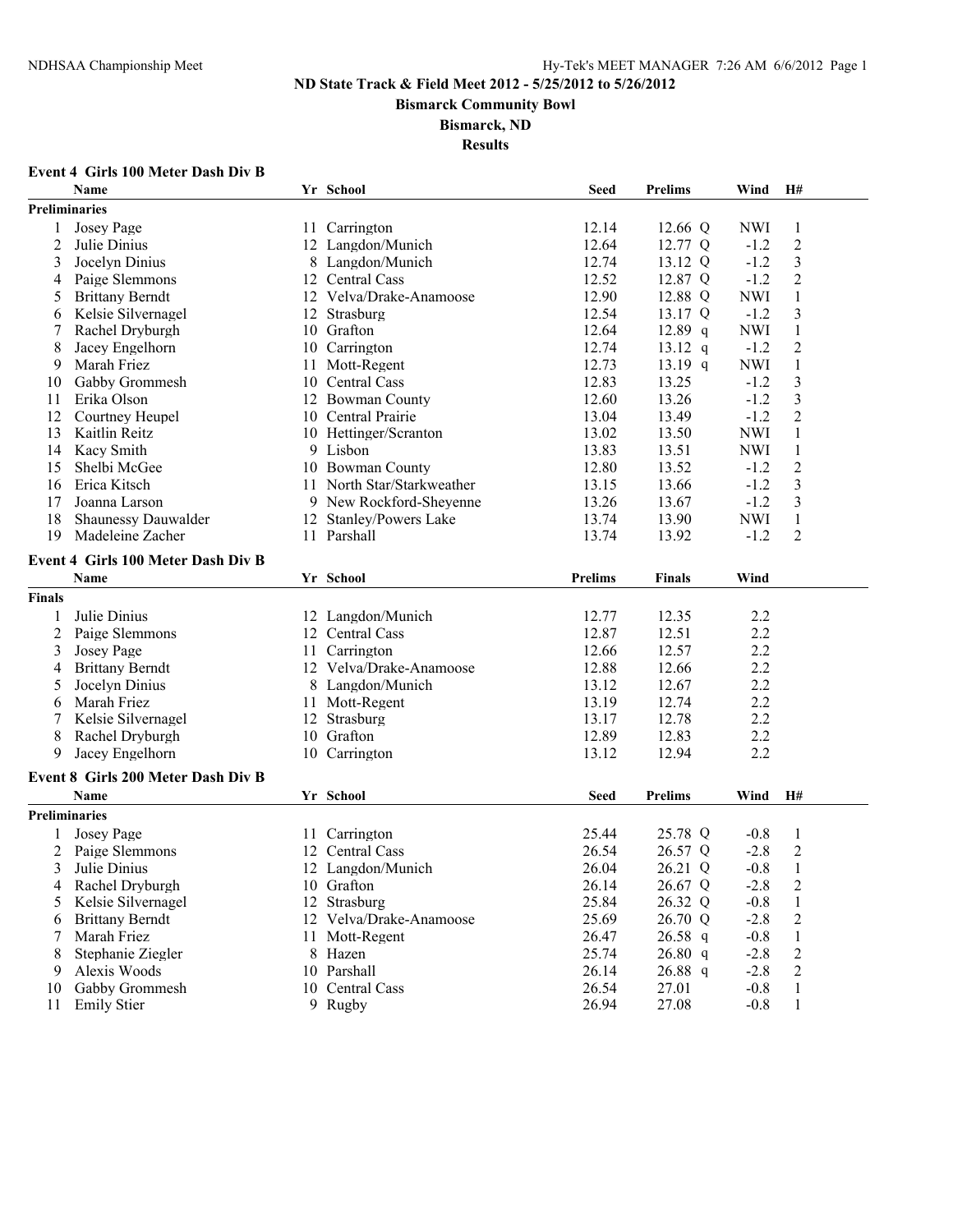**Bismarck Community Bowl**

#### **Bismarck, ND**

**Results**

# **Event 4 Girls 100 Meter Dash Div B**

|               | Name                               | Yr School                  | <b>Seed</b> | <b>Prelims</b> | Wind       | H#                      |  |
|---------------|------------------------------------|----------------------------|-------------|----------------|------------|-------------------------|--|
|               | <b>Preliminaries</b>               |                            |             |                |            |                         |  |
| 1             | <b>Josey Page</b>                  | 11 Carrington              | 12.14       | 12.66 Q        | <b>NWI</b> | 1                       |  |
| 2             | Julie Dinius                       | 12 Langdon/Munich          | 12.64       | 12.77 Q        | $-1.2$     | $\boldsymbol{2}$        |  |
| 3             | Jocelyn Dinius                     | 8 Langdon/Munich           | 12.74       | 13.12 Q        | $-1.2$     | $\overline{\mathbf{3}}$ |  |
| 4             | Paige Slemmons                     | 12 Central Cass            | 12.52       | 12.87 Q        | $-1.2$     | $\overline{2}$          |  |
| 5             | <b>Brittany Berndt</b>             | 12 Velva/Drake-Anamoose    | 12.90       | 12.88 Q        | <b>NWI</b> | $\mathbf{1}$            |  |
| 6             | Kelsie Silvernagel                 | 12 Strasburg               | 12.54       | 13.17 Q        | $-1.2$     | 3                       |  |
| 7             | Rachel Dryburgh                    | 10 Grafton                 | 12.64       | $12.89$ q      | <b>NWI</b> | $\mathbf{1}$            |  |
| 8             | Jacey Engelhorn                    | 10 Carrington              | 12.74       | $13.12$ q      | $-1.2$     | $\mathbf{2}$            |  |
| 9             | Marah Friez                        | 11 Mott-Regent             | 12.73       | 13.19 $q$      | <b>NWI</b> | $\mathbf{1}$            |  |
| 10            | Gabby Grommesh                     | 10 Central Cass            | 12.83       | 13.25          | $-1.2$     | 3                       |  |
| 11            | Erika Olson                        | 12 Bowman County           | 12.60       | 13.26          | $-1.2$     | $\overline{\mathbf{3}}$ |  |
| 12            | Courtney Heupel                    | 10 Central Prairie         | 13.04       | 13.49          | $-1.2$     | $\overline{2}$          |  |
| 13            | Kaitlin Reitz                      | 10 Hettinger/Scranton      | 13.02       | 13.50          | <b>NWI</b> | $\mathbf{1}$            |  |
| 14            | Kacy Smith                         | 9 Lisbon                   | 13.83       | 13.51          | <b>NWI</b> | 1                       |  |
| 15            | Shelbi McGee                       | 10 Bowman County           | 12.80       | 13.52          | $-1.2$     | $\overline{c}$          |  |
| 16            | Erica Kitsch                       | 11 North Star/Starkweather | 13.15       | 13.66          | $-1.2$     | 3                       |  |
| 17            | Joanna Larson                      | 9 New Rockford-Sheyenne    | 13.26       | 13.67          | $-1.2$     | 3                       |  |
| 18            | Shaunessy Dauwalder                | 12 Stanley/Powers Lake     | 13.74       | 13.90          | <b>NWI</b> | $\mathbf{1}$            |  |
| 19            | Madeleine Zacher                   | 11 Parshall                | 13.74       | 13.92          | $-1.2$     | $\overline{2}$          |  |
|               | Event 4 Girls 100 Meter Dash Div B |                            |             |                |            |                         |  |
|               | Name                               | Yr School                  | Prelims     | <b>Finals</b>  | Wind       |                         |  |
| <b>Finals</b> |                                    |                            |             |                |            |                         |  |
|               | Julie Dinius                       | 12 Langdon/Munich          | 12.77       | 12.35          | 2.2        |                         |  |
| 2             | Paige Slemmons                     | 12 Central Cass            | 12.87       | 12.51          | 2.2        |                         |  |
| 3             | Josey Page                         | 11 Carrington              | 12.66       | 12.57          | 2.2        |                         |  |
| 4             | <b>Brittany Berndt</b>             | 12 Velva/Drake-Anamoose    | 12.88       | 12.66          | 2.2        |                         |  |
| 5             | Jocelyn Dinius                     | 8 Langdon/Munich           | 13.12       | 12.67          | 2.2        |                         |  |
| 6             | Marah Friez                        | 11 Mott-Regent             | 13.19       | 12.74          | 2.2        |                         |  |
|               | Kelsie Silvernagel                 | 12 Strasburg               | 13.17       | 12.78          | 2.2        |                         |  |
| 8             | Rachel Dryburgh                    | 10 Grafton                 | 12.89       | 12.83          | 2.2        |                         |  |
| 9             | Jacey Engelhorn                    | 10 Carrington              | 13.12       | 12.94          | 2.2        |                         |  |
|               |                                    |                            |             |                |            |                         |  |
|               | Event 8 Girls 200 Meter Dash Div B |                            |             |                |            |                         |  |
|               | <b>Name</b>                        | Yr School                  | <b>Seed</b> | <b>Prelims</b> | Wind       | H#                      |  |
|               | <b>Preliminaries</b>               |                            |             |                |            |                         |  |
|               | Josey Page                         | 11 Carrington              | 25.44       | 25.78 Q        | $-0.8$     | 1                       |  |
| 2             | Paige Slemmons                     | 12 Central Cass            | 26.54       | 26.57 Q        | $-2.8$     | $\overline{2}$          |  |
| 3             | Julie Dinius                       | 12 Langdon/Munich          | 26.04       | 26.21 Q        | $-0.8$     | 1                       |  |
| 4             | Rachel Dryburgh                    | 10 Grafton                 | 26.14       | 26.67 Q        | $-2.8$     | $\sqrt{2}$              |  |
| 5             | Kelsie Silvernagel                 | 12 Strasburg               | 25.84       | 26.32 Q        | $-0.8$     | 1                       |  |
| 6             | <b>Brittany Berndt</b>             | 12 Velva/Drake-Anamoose    | 25.69       | 26.70 Q        | $-2.8$     | $\boldsymbol{2}$        |  |
| 7             | Marah Friez                        | 11 Mott-Regent             | 26.47       | $26.58$ q      | $-0.8$     | $\mathbf{1}$            |  |
| 8             | Stephanie Ziegler                  | 8 Hazen                    | 25.74       | 26.80 q        | $-2.8$     | $\overline{c}$          |  |
| 9             | Alexis Woods                       | 10 Parshall                | 26.14       | 26.88 q        | $-2.8$     | 2                       |  |
| 10            | Gabby Grommesh                     | 10 Central Cass            | 26.54       | 27.01          | $-0.8$     | 1                       |  |
| 11            | Emily Stier                        | 9 Rugby                    | 26.94       | 27.08          | $-0.8$     | 1                       |  |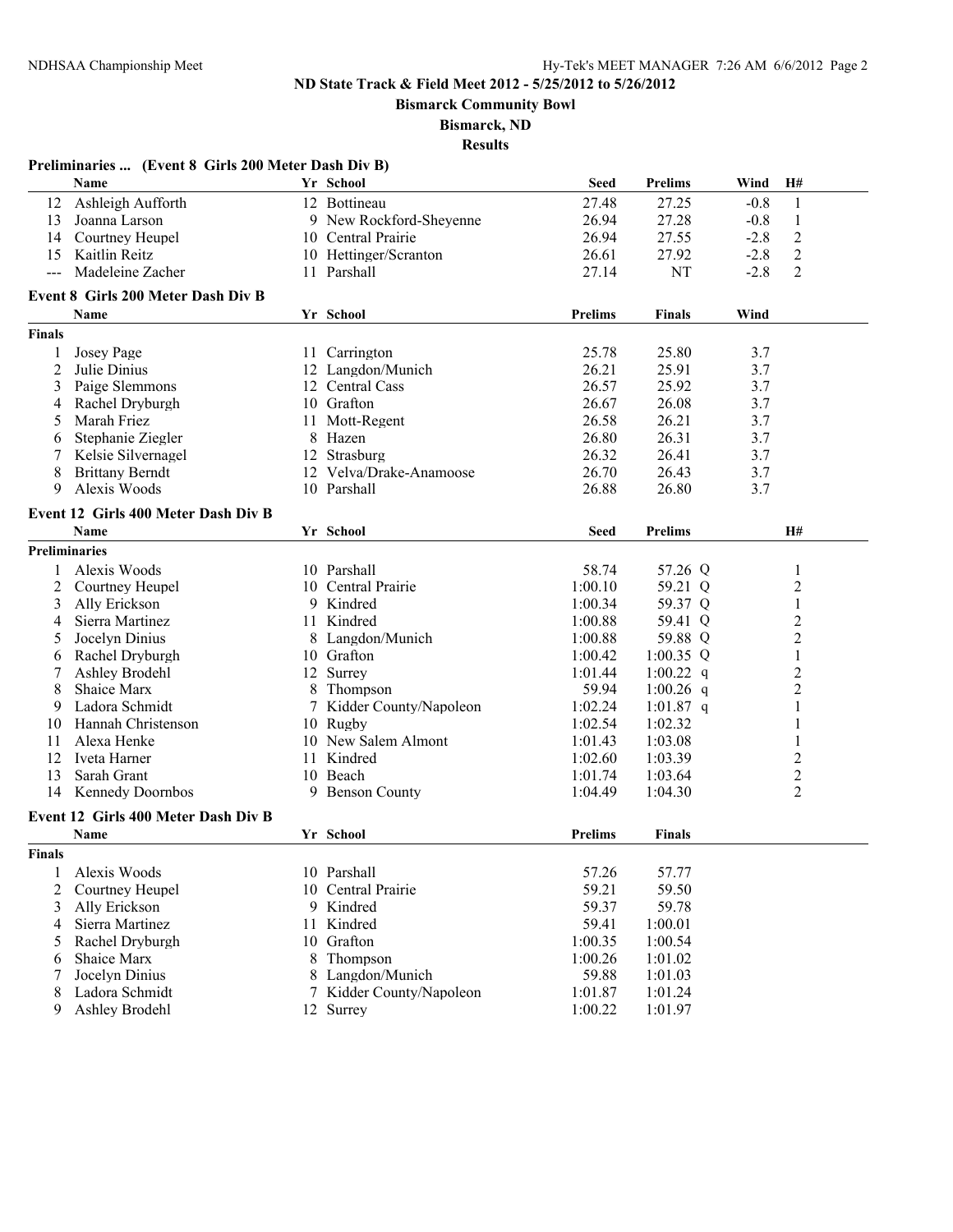**Bismarck Community Bowl**

**Bismarck, ND**

|                     | Preliminaries  (Event 8 Girls 200 Meter Dash Div B) |    |                          |                |                |        |                |
|---------------------|-----------------------------------------------------|----|--------------------------|----------------|----------------|--------|----------------|
|                     | Name                                                |    | Yr School                | <b>Seed</b>    | <b>Prelims</b> | Wind   | H#             |
|                     | 12 Ashleigh Aufforth                                |    | 12 Bottineau             | 27.48          | 27.25          | $-0.8$ | 1              |
| 13                  | Joanna Larson                                       |    | 9 New Rockford-Sheyenne  | 26.94          | 27.28          | $-0.8$ | $\mathbf{1}$   |
| 14                  | Courtney Heupel                                     |    | 10 Central Prairie       | 26.94          | 27.55          | $-2.8$ | $\mathfrak{2}$ |
| 15                  | Kaitlin Reitz                                       |    | 10 Hettinger/Scranton    | 26.61          | 27.92          | $-2.8$ | $\overline{2}$ |
| $\qquad \qquad - -$ | Madeleine Zacher                                    |    | 11 Parshall              | 27.14          | <b>NT</b>      | $-2.8$ | $\overline{2}$ |
|                     | <b>Event 8 Girls 200 Meter Dash Div B</b>           |    |                          |                |                |        |                |
|                     | Name                                                |    | Yr School                | <b>Prelims</b> | <b>Finals</b>  | Wind   |                |
| <b>Finals</b>       |                                                     |    |                          |                |                |        |                |
| 1                   | Josey Page                                          |    | 11 Carrington            | 25.78          | 25.80          | 3.7    |                |
| $\overline{2}$      | Julie Dinius                                        |    | 12 Langdon/Munich        | 26.21          | 25.91          | 3.7    |                |
| 3                   | Paige Slemmons                                      |    | 12 Central Cass          | 26.57          | 25.92          | 3.7    |                |
| 4                   | Rachel Dryburgh                                     |    | 10 Grafton               | 26.67          | 26.08          | 3.7    |                |
| 5                   | Marah Friez                                         |    | 11 Mott-Regent           | 26.58          | 26.21          | 3.7    |                |
| 6                   | Stephanie Ziegler                                   | 8  | Hazen                    | 26.80          | 26.31          | 3.7    |                |
| 7                   | Kelsie Silvernagel                                  |    | 12 Strasburg             | 26.32          | 26.41          | 3.7    |                |
| 8                   | <b>Brittany Berndt</b>                              |    | 12 Velva/Drake-Anamoose  | 26.70          | 26.43          | 3.7    |                |
| 9                   | Alexis Woods                                        |    | 10 Parshall              | 26.88          | 26.80          | 3.7    |                |
|                     | Event 12 Girls 400 Meter Dash Div B                 |    |                          |                |                |        |                |
|                     | Name                                                |    | Yr School                | <b>Seed</b>    | <b>Prelims</b> |        | H#             |
|                     | Preliminaries                                       |    |                          |                |                |        |                |
| 1                   | Alexis Woods                                        |    | 10 Parshall              | 58.74          | 57.26 Q        |        | 1              |
| 2                   | Courtney Heupel                                     | 10 | Central Prairie          | 1:00.10        | 59.21 Q        |        | $\overline{c}$ |
| 3                   | Ally Erickson                                       |    | 9 Kindred                | 1:00.34        | 59.37 Q        |        | $\mathbf{1}$   |
| 4                   | Sierra Martinez                                     |    | 11 Kindred               | 1:00.88        | 59.41 Q        |        | $\overline{c}$ |
| 5                   | Jocelyn Dinius                                      |    | 8 Langdon/Munich         | 1:00.88        | 59.88 Q        |        | $\overline{2}$ |
| 6                   | Rachel Dryburgh                                     |    | 10 Grafton               | 1:00.42        | $1:00.35$ Q    |        | $\mathbf{1}$   |
| 7                   | Ashley Brodehl                                      |    | 12 Surrey                | 1:01.44        | 1:00.22 $q$    |        | $\overline{c}$ |
| 8                   | Shaice Marx                                         | 8  | Thompson                 | 59.94          | 1:00.26 q      |        | $\overline{c}$ |
| 9                   | Ladora Schmidt                                      | 7  | Kidder County/Napoleon   | 1:02.24        | 1:01.87 $q$    |        | 1              |
| 10                  | Hannah Christenson                                  | 10 | Rugby                    | 1:02.54        | 1:02.32        |        | 1              |
| 11                  | Alexa Henke                                         |    | 10 New Salem Almont      | 1:01.43        | 1:03.08        |        | 1              |
| 12                  | Iveta Harner                                        |    | 11 Kindred               | 1:02.60        | 1:03.39        |        | $\overline{c}$ |
| 13                  | Sarah Grant                                         |    | 10 Beach                 | 1:01.74        | 1:03.64        |        | $\overline{c}$ |
| 14                  | <b>Kennedy Doornbos</b>                             | 9  | <b>Benson County</b>     | 1:04.49        | 1:04.30        |        | $\overline{2}$ |
|                     | Event 12 Girls 400 Meter Dash Div B                 |    |                          |                |                |        |                |
|                     | Name                                                |    | Yr School                | <b>Prelims</b> | <b>Finals</b>  |        |                |
| <b>Finals</b>       |                                                     |    |                          |                |                |        |                |
| 1                   | Alexis Woods                                        |    | 10 Parshall              | 57.26          | 57.77          |        |                |
| 2                   | Courtney Heupel                                     | 10 | Central Prairie          | 59.21          | 59.50          |        |                |
| 3                   | Ally Erickson                                       | 9  | Kindred                  | 59.37          | 59.78          |        |                |
| 4                   | Sierra Martinez                                     | 11 | Kindred                  | 59.41          | 1:00.01        |        |                |
| 5                   | Rachel Dryburgh                                     | 10 | Grafton                  | 1:00.35        | 1:00.54        |        |                |
| 6                   | Shaice Marx                                         | 8  | Thompson                 | 1:00.26        | 1:01.02        |        |                |
| 7                   | Jocelyn Dinius                                      |    | 8 Langdon/Munich         | 59.88          | 1:01.03        |        |                |
| 8                   | Ladora Schmidt                                      |    | 7 Kidder County/Napoleon | 1:01.87        | 1:01.24        |        |                |
|                     | Ashley Brodehl                                      |    |                          |                |                |        |                |
| 9                   |                                                     |    | 12 Surrey                | 1:00.22        | 1:01.97        |        |                |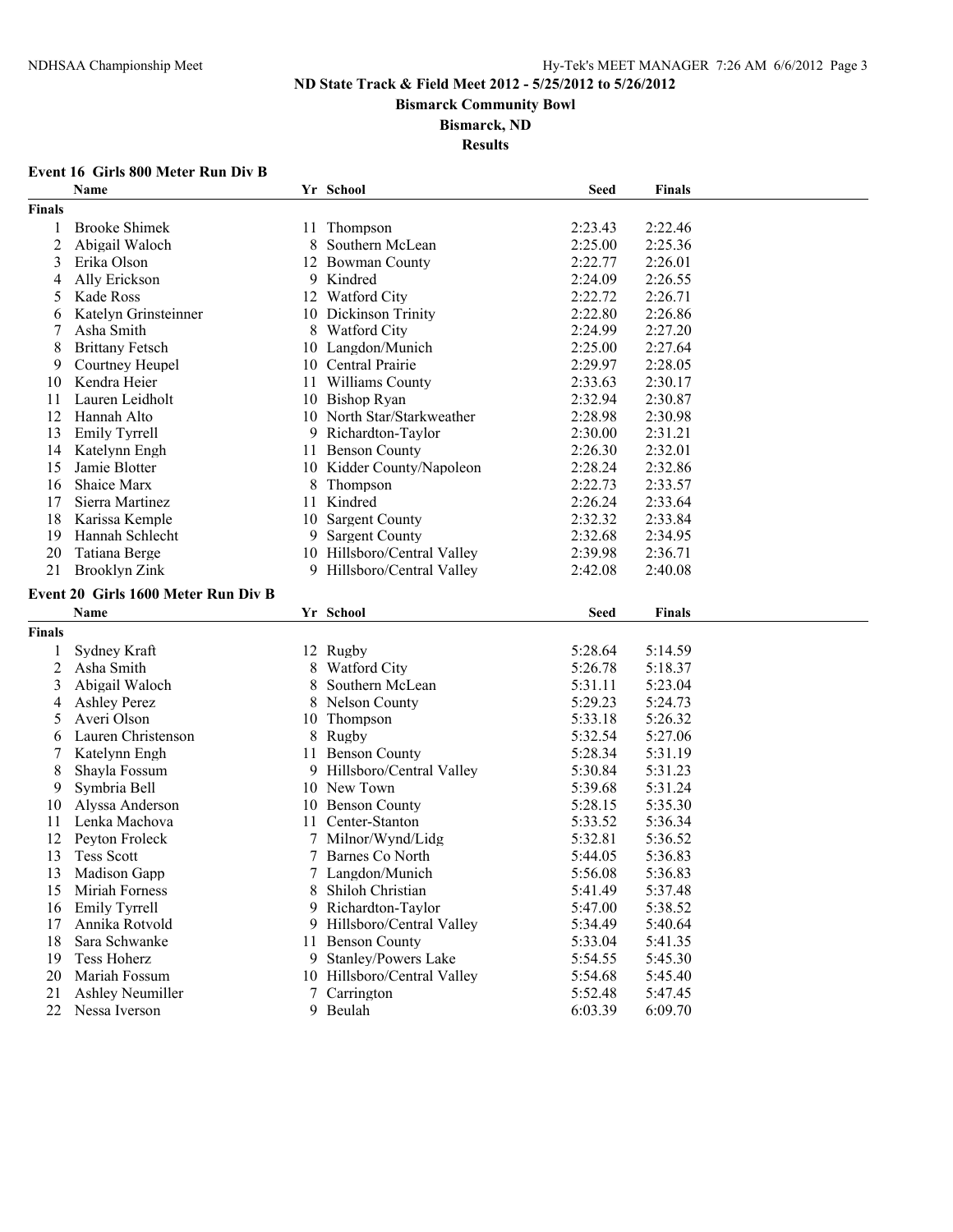**Bismarck Community Bowl**

#### **Bismarck, ND**

**Results**

# **Event 16 Girls 800 Meter Run Div B**

|                | Name                                |    | Yr School                   | <b>Seed</b> | <b>Finals</b> |
|----------------|-------------------------------------|----|-----------------------------|-------------|---------------|
| <b>Finals</b>  |                                     |    |                             |             |               |
| 1              | <b>Brooke Shimek</b>                |    | 11 Thompson                 | 2:23.43     | 2:22.46       |
| $\overline{2}$ | Abigail Waloch                      | 8  | Southern McLean             | 2:25.00     | 2:25.36       |
| 3              | Erika Olson                         |    | 12 Bowman County            | 2:22.77     | 2:26.01       |
| 4              | Ally Erickson                       |    | 9 Kindred                   | 2:24.09     | 2:26.55       |
| 5              | Kade Ross                           |    | 12 Watford City             | 2:22.72     | 2:26.71       |
| 6              | Katelyn Grinsteinner                |    | 10 Dickinson Trinity        | 2:22.80     | 2:26.86       |
| 7              | Asha Smith                          |    | 8 Watford City              | 2:24.99     | 2:27.20       |
| 8              | <b>Brittany Fetsch</b>              |    | 10 Langdon/Munich           | 2:25.00     | 2:27.64       |
| 9              | Courtney Heupel                     |    | 10 Central Prairie          | 2:29.97     | 2:28.05       |
| 10             | Kendra Heier                        |    | 11 Williams County          | 2:33.63     | 2:30.17       |
| 11             | Lauren Leidholt                     |    | 10 Bishop Ryan              | 2:32.94     | 2:30.87       |
| 12             | Hannah Alto                         |    | 10 North Star/Starkweather  | 2:28.98     | 2:30.98       |
| 13             | <b>Emily Tyrrell</b>                | 9  | Richardton-Taylor           | 2:30.00     | 2:31.21       |
| 14             | Katelynn Engh                       | 11 | <b>Benson County</b>        | 2:26.30     | 2:32.01       |
| 15             | Jamie Blotter                       |    | 10 Kidder County/Napoleon   | 2:28.24     | 2:32.86       |
| 16             | Shaice Marx                         | 8  | Thompson                    | 2:22.73     | 2:33.57       |
| 17             | Sierra Martinez                     | 11 | Kindred                     | 2:26.24     | 2:33.64       |
| 18             | Karissa Kemple                      | 10 | <b>Sargent County</b>       | 2:32.32     | 2:33.84       |
| 19             | Hannah Schlecht                     | 9  | <b>Sargent County</b>       | 2:32.68     | 2:34.95       |
| 20             | Tatiana Berge                       |    | 10 Hillsboro/Central Valley | 2:39.98     | 2:36.71       |
| 21             | <b>Brooklyn Zink</b>                |    | 9 Hillsboro/Central Valley  | 2:42.08     | 2:40.08       |
|                |                                     |    |                             |             |               |
|                | Event 20 Girls 1600 Meter Run Div B |    |                             |             |               |
|                |                                     |    |                             |             |               |
|                | Name                                |    | Yr School                   | <b>Seed</b> | <b>Finals</b> |
| <b>Finals</b>  |                                     |    |                             |             |               |
| 1              | Sydney Kraft                        |    | 12 Rugby                    | 5:28.64     | 5:14.59       |
| $\overline{c}$ | Asha Smith                          | 8  | <b>Watford City</b>         | 5:26.78     | 5:18.37       |
| 3              | Abigail Waloch                      | 8  | Southern McLean             | 5:31.11     | 5:23.04       |
| 4              | <b>Ashley Perez</b>                 | 8  | <b>Nelson County</b>        | 5:29.23     | 5:24.73       |
| 5              | Averi Olson                         |    | 10 Thompson                 | 5:33.18     | 5:26.32       |
| 6              | Lauren Christenson                  | 8  | Rugby                       | 5:32.54     | 5:27.06       |
| 7              | Katelynn Engh                       | 11 | <b>Benson County</b>        | 5:28.34     | 5:31.19       |
| 8              | Shayla Fossum                       |    | 9 Hillsboro/Central Valley  | 5:30.84     | 5:31.23       |
| 9              | Symbria Bell                        |    | 10 New Town                 | 5:39.68     | 5:31.24       |
| 10             | Alyssa Anderson                     |    | 10 Benson County            | 5:28.15     | 5:35.30       |
| 11             | Lenka Machova                       |    | 11 Center-Stanton           | 5:33.52     | 5:36.34       |
| 12             | Peyton Froleck                      | 7  | Milnor/Wynd/Lidg            | 5:32.81     | 5:36.52       |
| 13             | <b>Tess Scott</b>                   | 7  | Barnes Co North             | 5:44.05     | 5:36.83       |
| 13             | Madison Gapp                        |    | 7 Langdon/Munich            | 5:56.08     | 5:36.83       |
| 15             | Miriah Forness                      | 8  | Shiloh Christian            | 5:41.49     | 5:37.48       |
| 16             | <b>Emily Tyrrell</b>                | 9. | Richardton-Taylor           | 5:47.00     | 5:38.52       |
| 17             | Annika Rotvold                      | 9. | Hillsboro/Central Valley    | 5:34.49     | 5:40.64       |
| 18             | Sara Schwanke                       | 11 | <b>Benson County</b>        | 5:33.04     | 5:41.35       |
| 19             | Tess Hoherz                         |    | 9 Stanley/Powers Lake       | 5:54.55     | 5:45.30       |
| 20             | Mariah Fossum                       |    | 10 Hillsboro/Central Valley | 5:54.68     | 5:45.40       |
| 21             | <b>Ashley Neumiller</b>             | 7  | Carrington                  | 5:52.48     | 5:47.45       |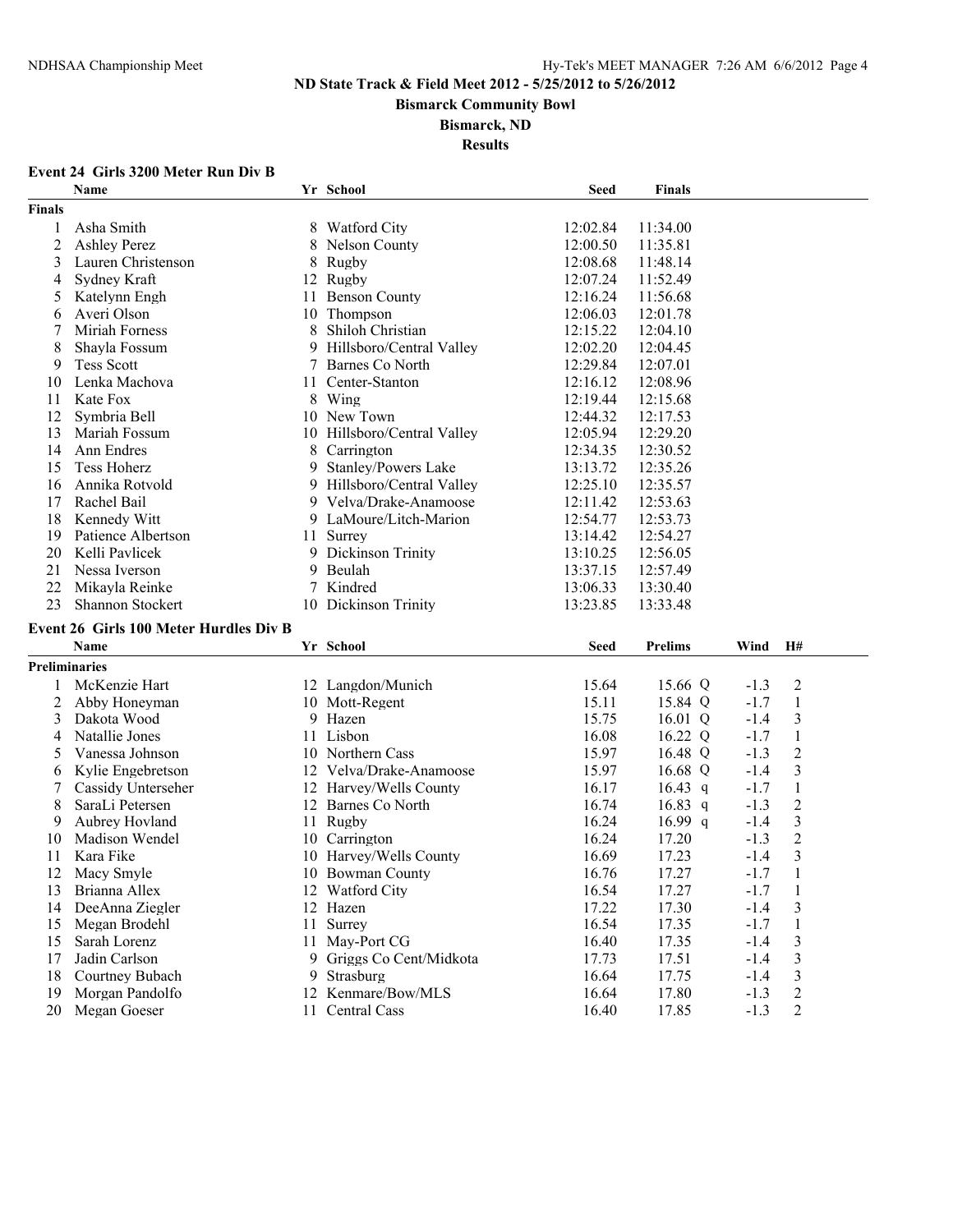**Bismarck Community Bowl**

#### **Bismarck, ND**

**Results**

# **Event 24 Girls 3200 Meter Run Div B**

|                      | Name                                          |    | Yr School                             | <b>Seed</b>    | <b>Finals</b>  |        |                                    |
|----------------------|-----------------------------------------------|----|---------------------------------------|----------------|----------------|--------|------------------------------------|
| <b>Finals</b>        |                                               |    |                                       |                |                |        |                                    |
| 1                    | Asha Smith                                    |    | 8 Watford City                        | 12:02.84       | 11:34.00       |        |                                    |
| $\overline{2}$       | <b>Ashley Perez</b>                           | 8  | Nelson County                         | 12:00.50       | 11:35.81       |        |                                    |
| 3                    | Lauren Christenson                            |    | 8 Rugby                               | 12:08.68       | 11:48.14       |        |                                    |
| 4                    | Sydney Kraft                                  |    | 12 Rugby                              | 12:07.24       | 11:52.49       |        |                                    |
| 5                    | Katelynn Engh                                 | 11 | <b>Benson County</b>                  | 12:16.24       | 11:56.68       |        |                                    |
| 6                    | Averi Olson                                   |    | 10 Thompson                           | 12:06.03       | 12:01.78       |        |                                    |
| 7                    | Miriah Forness                                | 8  | Shiloh Christian                      | 12:15.22       | 12:04.10       |        |                                    |
| 8                    | Shayla Fossum                                 | 9  | Hillsboro/Central Valley              | 12:02.20       | 12:04.45       |        |                                    |
| 9                    | <b>Tess Scott</b>                             | 7  | Barnes Co North                       | 12:29.84       | 12:07.01       |        |                                    |
| 10                   | Lenka Machova                                 | 11 | Center-Stanton                        | 12:16.12       | 12:08.96       |        |                                    |
| 11                   | Kate Fox                                      | 8  | Wing                                  | 12:19.44       | 12:15.68       |        |                                    |
| 12                   | Symbria Bell                                  |    | 10 New Town                           | 12:44.32       | 12:17.53       |        |                                    |
| 13                   | Mariah Fossum                                 | 10 | Hillsboro/Central Valley              | 12:05.94       | 12:29.20       |        |                                    |
| 14                   | Ann Endres                                    | 8  | Carrington                            | 12:34.35       | 12:30.52       |        |                                    |
| 15                   | <b>Tess Hoherz</b>                            | 9  | Stanley/Powers Lake                   | 13:13.72       | 12:35.26       |        |                                    |
| 16                   | Annika Rotvold                                |    | 9 Hillsboro/Central Valley            | 12:25.10       | 12:35.57       |        |                                    |
| 17                   | Rachel Bail                                   | 9. | Velva/Drake-Anamoose                  | 12:11.42       | 12:53.63       |        |                                    |
| 18                   | Kennedy Witt                                  |    | 9 LaMoure/Litch-Marion                | 12:54.77       | 12:53.73       |        |                                    |
| 19                   | Patience Albertson                            | 11 | Surrey                                | 13:14.42       | 12:54.27       |        |                                    |
| 20                   | Kelli Pavlicek                                |    | 9 Dickinson Trinity                   | 13:10.25       | 12:56.05       |        |                                    |
| 21                   | Nessa Iverson                                 |    | 9 Beulah                              | 13:37.15       | 12:57.49       |        |                                    |
| 22                   | Mikayla Reinke                                |    | 7 Kindred                             | 13:06.33       | 13:30.40       |        |                                    |
|                      |                                               |    |                                       |                |                |        |                                    |
|                      |                                               |    |                                       |                |                |        |                                    |
| 23                   | Shannon Stockert                              |    | 10 Dickinson Trinity                  | 13:23.85       | 13:33.48       |        |                                    |
|                      | <b>Event 26 Girls 100 Meter Hurdles Div B</b> |    |                                       |                |                |        |                                    |
|                      | <b>Name</b>                                   |    | Yr School                             | <b>Seed</b>    | <b>Prelims</b> | Wind   | H#                                 |
| <b>Preliminaries</b> |                                               |    |                                       |                |                |        |                                    |
| 1                    | McKenzie Hart                                 |    | 12 Langdon/Munich                     | 15.64          | 15.66 Q        | $-1.3$ | $\overline{2}$                     |
| 2                    | Abby Honeyman                                 |    | 10 Mott-Regent                        | 15.11          | 15.84 Q        | $-1.7$ | $\mathbf{1}$                       |
| 3                    | Dakota Wood                                   |    | 9 Hazen                               | 15.75          | $16.01$ Q      | $-1.4$ | $\mathfrak{Z}$                     |
| 4                    | Natallie Jones                                |    | 11 Lisbon                             | 16.08          | 16.22 Q        | $-1.7$ | $\mathbf{1}$                       |
| 5                    | Vanessa Johnson                               |    | 10 Northern Cass                      | 15.97          | 16.48 Q        | $-1.3$ | $\overline{2}$                     |
| 6                    | Kylie Engebretson                             |    | 12 Velva/Drake-Anamoose               | 15.97          | 16.68 Q        | $-1.4$ | $\mathfrak{Z}$                     |
| 7                    | Cassidy Unterseher                            |    | 12 Harvey/Wells County                | 16.17          | 16.43 $q$      | $-1.7$ | $\mathbf{1}$                       |
| 8                    | SaraLi Petersen                               |    | 12 Barnes Co North                    | 16.74          | 16.83 q        | $-1.3$ | $\boldsymbol{2}$                   |
| 9                    | Aubrey Hovland                                |    | 11 Rugby                              | 16.24          | $16.99$ q      | $-1.4$ | $\mathfrak{Z}$                     |
| 10                   | Madison Wendel                                |    | 10 Carrington                         | 16.24          | 17.20          | $-1.3$ | $\sqrt{2}$                         |
| 11                   | Kara Fike                                     |    | 10 Harvey/Wells County                | 16.69          | 17.23          | $-1.4$ | $\mathfrak{Z}$                     |
| 12                   | Macy Smyle                                    |    | 10 Bowman County                      | 16.76          | 17.27          | $-1.7$ | $\,1\,$                            |
| 13                   | Brianna Allex                                 |    | 12 Watford City                       | 16.54          | 17.27          | $-1.7$ | $\mathbf{1}$                       |
| 14                   | DeeAnna Ziegler                               |    | 12 Hazen                              | 17.22          | 17.30          | $-1.4$ | 3                                  |
| 15                   | Megan Brodehl                                 |    | 11 Surrey                             | 16.54          | 17.35          | $-1.7$ | 1                                  |
| 15                   | Sarah Lorenz                                  | 11 | May-Port CG                           | 16.40          | 17.35          | $-1.4$ | $\mathfrak{Z}$                     |
| 17                   | Jadin Carlson                                 | 9. | Griggs Co Cent/Midkota                | 17.73          | 17.51          | $-1.4$ | $\mathfrak{Z}$                     |
| 18                   | Courtney Bubach                               | 9  | Strasburg                             | 16.64          | 17.75          | $-1.4$ | $\mathfrak{Z}$                     |
| 19                   | Morgan Pandolfo<br>Megan Goeser               |    | 12 Kenmare/Bow/MLS<br>11 Central Cass | 16.64<br>16.40 | 17.80<br>17.85 | $-1.3$ | $\boldsymbol{2}$<br>$\overline{c}$ |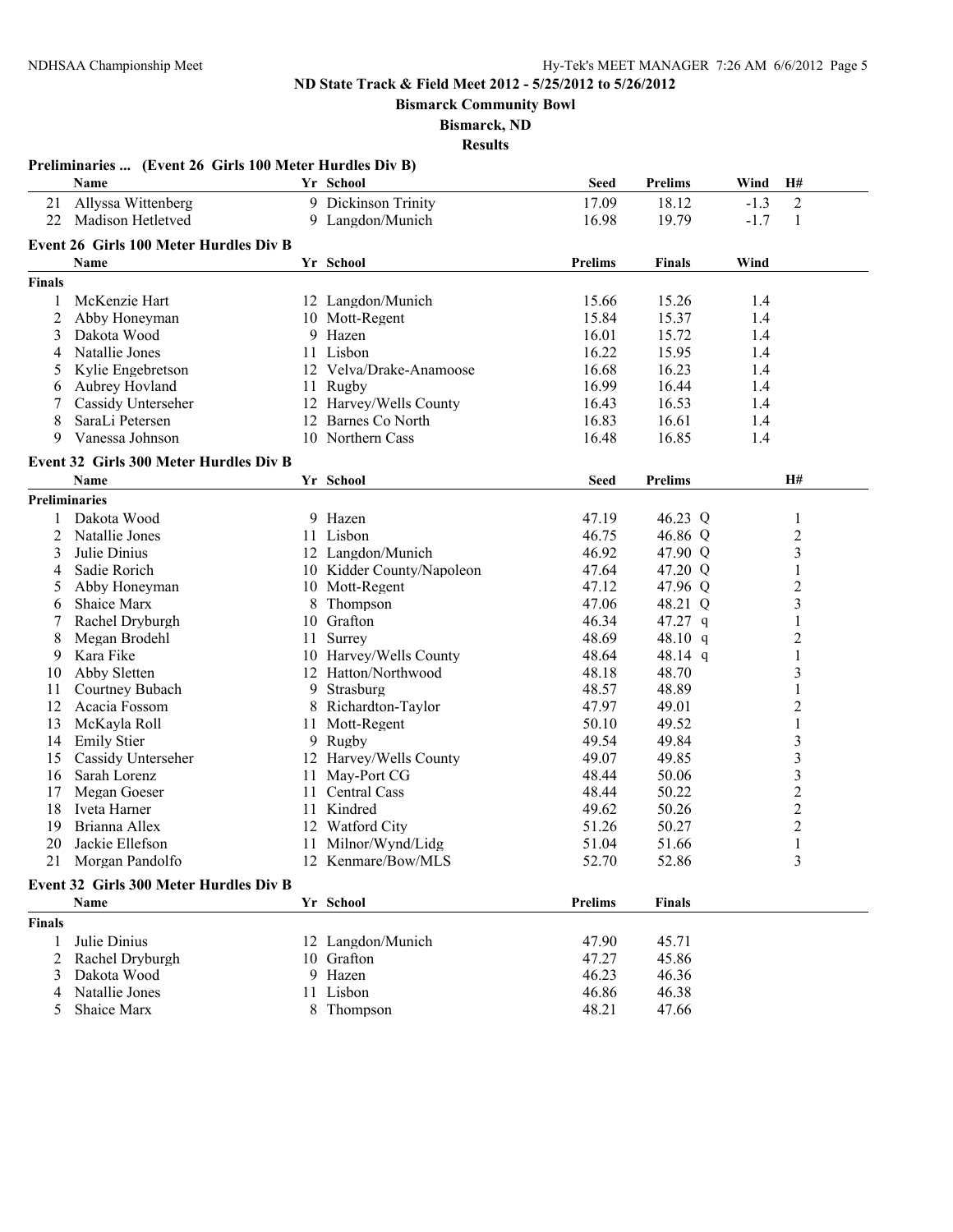**Bismarck Community Bowl**

**Bismarck, ND**

|               | Preliminaries  (Event 26 Girls 100 Meter Hurdles Div B) |    |                           |                |                |                          |  |
|---------------|---------------------------------------------------------|----|---------------------------|----------------|----------------|--------------------------|--|
|               | Name                                                    |    | Yr School                 | <b>Seed</b>    | <b>Prelims</b> | H#<br>Wind               |  |
| 21            | Allyssa Wittenberg                                      |    | 9 Dickinson Trinity       | 17.09          | 18.12          | $\mathfrak{2}$<br>$-1.3$ |  |
| 22            | Madison Hetletved                                       |    | 9 Langdon/Munich          | 16.98          | 19.79          | $-1.7$<br>1              |  |
|               | <b>Event 26 Girls 100 Meter Hurdles Div B</b>           |    |                           |                |                |                          |  |
|               | Name                                                    |    | Yr School                 | <b>Prelims</b> | <b>Finals</b>  | Wind                     |  |
|               |                                                         |    |                           |                |                |                          |  |
| <b>Finals</b> |                                                         |    |                           |                |                |                          |  |
| 1             | McKenzie Hart                                           |    | 12 Langdon/Munich         | 15.66          | 15.26          | 1.4                      |  |
| 2             | Abby Honeyman                                           |    | 10 Mott-Regent            | 15.84          | 15.37          | 1.4                      |  |
| 3             | Dakota Wood                                             |    | 9 Hazen                   | 16.01          | 15.72          | 1.4                      |  |
| 4             | Natallie Jones                                          |    | 11 Lisbon                 | 16.22          | 15.95          | 1.4                      |  |
| 5             | Kylie Engebretson                                       |    | 12 Velva/Drake-Anamoose   | 16.68          | 16.23          | 1.4                      |  |
| 6             | Aubrey Hovland                                          |    | 11 Rugby                  | 16.99          | 16.44          | 1.4                      |  |
| 7             | Cassidy Unterseher                                      |    | 12 Harvey/Wells County    | 16.43          | 16.53          | 1.4                      |  |
| 8             | SaraLi Petersen                                         |    | 12 Barnes Co North        | 16.83          | 16.61          | 1.4                      |  |
| 9             | Vanessa Johnson                                         |    | 10 Northern Cass          | 16.48          | 16.85          | 1.4                      |  |
|               | Event 32 Girls 300 Meter Hurdles Div B                  |    |                           |                |                |                          |  |
|               | Name                                                    |    | Yr School                 | <b>Seed</b>    | <b>Prelims</b> | H#                       |  |
|               | <b>Preliminaries</b>                                    |    |                           |                |                |                          |  |
| 1             | Dakota Wood                                             |    | 9 Hazen                   | 47.19          | 46.23 Q        | 1                        |  |
| 2             | Natallie Jones                                          |    | 11 Lisbon                 | 46.75          | 46.86 Q        | $\overline{c}$           |  |
| 3             | Julie Dinius                                            |    | 12 Langdon/Munich         | 46.92          | 47.90 Q        | 3                        |  |
| 4             | Sadie Rorich                                            |    | 10 Kidder County/Napoleon | 47.64          | 47.20 Q        | $\mathbf{1}$             |  |
| 5             | Abby Honeyman                                           |    | 10 Mott-Regent            | 47.12          | 47.96 Q        | $\overline{c}$           |  |
| 6             | Shaice Marx                                             | 8  | Thompson                  | 47.06          | 48.21 Q        | 3                        |  |
|               | Rachel Dryburgh                                         | 10 | Grafton                   | 46.34          | 47.27 q        | $\mathbf{1}$             |  |
| 8             | Megan Brodehl                                           | 11 | Surrey                    | 48.69          | 48.10 $q$      | $\overline{c}$           |  |
| 9             | Kara Fike                                               |    | 10 Harvey/Wells County    | 48.64          | 48.14 q        | $\mathbf{1}$             |  |
| 10            | Abby Sletten                                            |    | 12 Hatton/Northwood       | 48.18          | 48.70          | $\overline{\mathbf{3}}$  |  |
| 11            | Courtney Bubach                                         | 9  | Strasburg                 | 48.57          | 48.89          | $\mathbf{1}$             |  |
| 12            | Acacia Fossom                                           |    | 8 Richardton-Taylor       | 47.97          | 49.01          | $\overline{c}$           |  |
| 13            | McKayla Roll                                            | 11 | Mott-Regent               | 50.10          | 49.52          | $\mathbf{1}$             |  |
| 14            | <b>Emily Stier</b>                                      |    | 9 Rugby                   | 49.54          | 49.84          | 3                        |  |
| 15            | Cassidy Unterseher                                      |    | 12 Harvey/Wells County    | 49.07          | 49.85          | 3                        |  |
| 16            | Sarah Lorenz                                            | 11 | May-Port CG               | 48.44          | 50.06          | $\overline{\mathbf{3}}$  |  |
| 17            | Megan Goeser                                            | 11 | Central Cass              | 48.44          | 50.22          | $\overline{c}$           |  |
| 18            | Iveta Harner                                            |    | 11 Kindred                | 49.62          | 50.26          | $\boldsymbol{2}$         |  |
| 19            | Brianna Allex                                           |    | 12 Watford City           | 51.26          | 50.27          | $\boldsymbol{2}$         |  |
| 20            | Jackie Ellefson                                         |    | 11 Milnor/Wynd/Lidg       | 51.04          | 51.66          | 1                        |  |
|               | 21 Morgan Pandolfo                                      |    | 12 Kenmare/Bow/MLS        | 52.70          | 52.86          |                          |  |
|               |                                                         |    |                           |                |                |                          |  |
|               | Event 32 Girls 300 Meter Hurdles Div B                  |    |                           |                |                |                          |  |
|               | Name                                                    |    | Yr School                 | <b>Prelims</b> | <b>Finals</b>  |                          |  |
| <b>Finals</b> |                                                         |    |                           |                |                |                          |  |
| 1             | Julie Dinius                                            |    | 12 Langdon/Munich         | 47.90          | 45.71          |                          |  |
| 2             | Rachel Dryburgh                                         |    | 10 Grafton                | 47.27          | 45.86          |                          |  |
| 3             | Dakota Wood                                             |    | 9 Hazen                   | 46.23          | 46.36          |                          |  |
| 4             | Natallie Jones                                          |    | 11 Lisbon                 | 46.86          | 46.38          |                          |  |
| 5             | Shaice Marx                                             |    | 8 Thompson                | 48.21          | 47.66          |                          |  |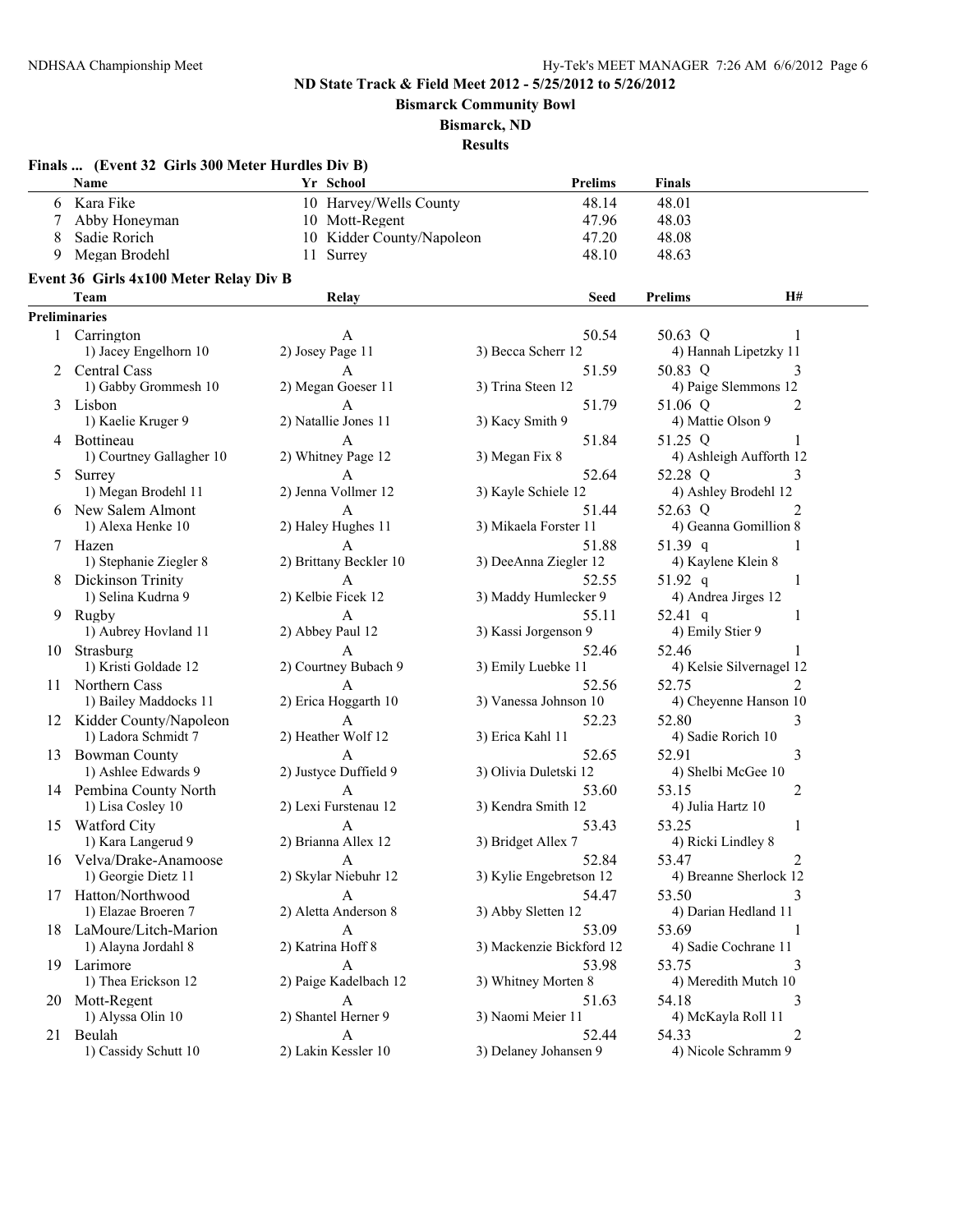**Bismarck Community Bowl**

**Bismarck, ND**

|    | Finals  (Event 32 Girls 300 Meter Hurdles Div B) |                           |                          |                          |                |
|----|--------------------------------------------------|---------------------------|--------------------------|--------------------------|----------------|
|    | <b>Name</b>                                      | Yr School                 | <b>Prelims</b>           | <b>Finals</b>            |                |
|    | 6 Kara Fike                                      | 10 Harvey/Wells County    | 48.14                    | 48.01                    |                |
| 7  | Abby Honeyman                                    | 10 Mott-Regent            | 47.96                    | 48.03                    |                |
| 8  | Sadie Rorich                                     | 10 Kidder County/Napoleon | 47.20                    | 48.08                    |                |
| 9  | Megan Brodehl                                    | 11 Surrey                 | 48.10                    | 48.63                    |                |
|    |                                                  |                           |                          |                          |                |
|    | Event 36 Girls 4x100 Meter Relay Div B           |                           |                          |                          |                |
|    | Team                                             | Relay                     | Seed                     | <b>Prelims</b>           | <b>H#</b>      |
|    | <b>Preliminaries</b>                             |                           |                          |                          |                |
|    | 1 Carrington                                     | A                         | 50.54                    | 50.63 Q                  | 1              |
|    | 1) Jacey Engelhorn 10                            | 2) Josey Page 11          | 3) Becca Scherr 12       | 4) Hannah Lipetzky 11    |                |
| 2  | Central Cass                                     | $\mathbf{A}$              | 51.59                    | 50.83 Q                  | 3              |
|    | 1) Gabby Grommesh 10                             | 2) Megan Goeser 11        | 3) Trina Steen 12        | 4) Paige Slemmons 12     |                |
| 3  | Lisbon                                           | A                         | 51.79                    | 51.06 Q                  | 2              |
|    | 1) Kaelie Kruger 9                               | 2) Natallie Jones 11      | 3) Kacy Smith 9          | 4) Mattie Olson 9        |                |
|    | 4 Bottineau                                      | A                         | 51.84                    | 51.25 Q                  | 1              |
|    | 1) Courtney Gallagher 10                         | 2) Whitney Page 12        | 3) Megan Fix 8           | 4) Ashleigh Aufforth 12  |                |
| 5  | Surrey                                           | $\mathbf{A}$              | 52.64                    | 52.28 Q                  | 3              |
|    | 1) Megan Brodehl 11                              | 2) Jenna Vollmer 12       | 3) Kayle Schiele 12      | 4) Ashley Brodehl 12     |                |
|    | 6 New Salem Almont                               | $\mathbf{A}$              | 51.44                    | 52.63 Q                  | 2              |
|    | 1) Alexa Henke 10                                | 2) Haley Hughes 11        | 3) Mikaela Forster 11    | 4) Geanna Gomillion 8    |                |
| 7  | Hazen                                            | $\overline{A}$            | 51.88                    | 51.39 q                  |                |
|    | 1) Stephanie Ziegler 8                           | 2) Brittany Beckler 10    | 3) DeeAnna Ziegler 12    | 4) Kaylene Klein 8       |                |
|    | Dickinson Trinity                                | A                         | 52.55                    | 51.92 q                  | 1              |
|    | 1) Selina Kudrna 9                               | 2) Kelbie Ficek 12        | 3) Maddy Humlecker 9     | 4) Andrea Jirges 12      |                |
| 9  | Rugby                                            | $\mathsf{A}$              | 55.11                    | 52.41 q                  | 1              |
|    | 1) Aubrey Hovland 11                             | 2) Abbey Paul 12          | 3) Kassi Jorgenson 9     | 4) Emily Stier 9         |                |
| 10 | Strasburg                                        | $\mathsf{A}$              | 52.46                    | 52.46                    | 1              |
|    | 1) Kristi Goldade 12                             | 2) Courtney Bubach 9      | 3) Emily Luebke 11       | 4) Kelsie Silvernagel 12 |                |
|    | 11 Northern Cass                                 | $\mathbf{A}$              | 52.56                    | 52.75                    | $\overline{2}$ |
|    | 1) Bailey Maddocks 11                            | 2) Erica Hoggarth 10      | 3) Vanessa Johnson 10    | 4) Cheyenne Hanson 10    |                |
|    | 12 Kidder County/Napoleon                        | A                         | 52.23                    | 52.80                    | 3              |
|    | 1) Ladora Schmidt 7                              | 2) Heather Wolf 12        | 3) Erica Kahl 11         | 4) Sadie Rorich 10       |                |
| 13 | <b>Bowman County</b>                             | $\mathbf{A}$              | 52.65                    | 52.91                    | 3              |
|    | 1) Ashlee Edwards 9                              | 2) Justyce Duffield 9     | 3) Olivia Duletski 12    | 4) Shelbi McGee 10       |                |
|    | 14 Pembina County North                          | $\mathbf{A}$              | 53.60                    | 53.15                    | 2              |
|    | 1) Lisa Cosley 10                                | 2) Lexi Furstenau 12      | 3) Kendra Smith 12       | 4) Julia Hartz 10        |                |
|    | 15 Watford City                                  | $\overline{A}$            | 53.43                    | 53.25                    | 1              |
|    | 1) Kara Langerud 9                               | 2) Brianna Allex 12       | 3) Bridget Allex 7       | 4) Ricki Lindley 8       |                |
| 16 | Velva/Drake-Anamoose                             | A                         | 52.84                    | 53.47                    |                |
|    | 1) Georgie Dietz 11                              | 2) Skylar Niebuhr 12      | 3) Kylie Engebretson 12  | 4) Breanne Sherlock 12   |                |
| 17 | Hatton/Northwood                                 | $\mathbf{A}$              | 54.47                    | 53.50                    | 3              |
|    | 1) Elazae Broeren 7                              | 2) Aletta Anderson 8      | 3) Abby Sletten 12       | 4) Darian Hedland 11     |                |
|    | 18 LaMoure/Litch-Marion                          | A                         | 53.09                    | 53.69                    | 1              |
|    | 1) Alayna Jordahl 8                              | 2) Katrina Hoff 8         | 3) Mackenzie Bickford 12 | 4) Sadie Cochrane 11     |                |
| 19 | Larimore                                         | A                         | 53.98                    | 53.75                    | 3              |
|    | 1) Thea Erickson 12                              | 2) Paige Kadelbach 12     | 3) Whitney Morten 8      | 4) Meredith Mutch 10     |                |
|    | 20 Mott-Regent                                   | A                         | 51.63                    | 54.18                    | 3              |
|    | 1) Alyssa Olin 10                                | 2) Shantel Herner 9       | 3) Naomi Meier 11        | 4) McKayla Roll 11       |                |
| 21 | Beulah                                           | $\mathbf{A}$              | 52.44                    | 54.33                    | 2              |
|    | 1) Cassidy Schutt 10                             | 2) Lakin Kessler 10       | 3) Delaney Johansen 9    | 4) Nicole Schramm 9      |                |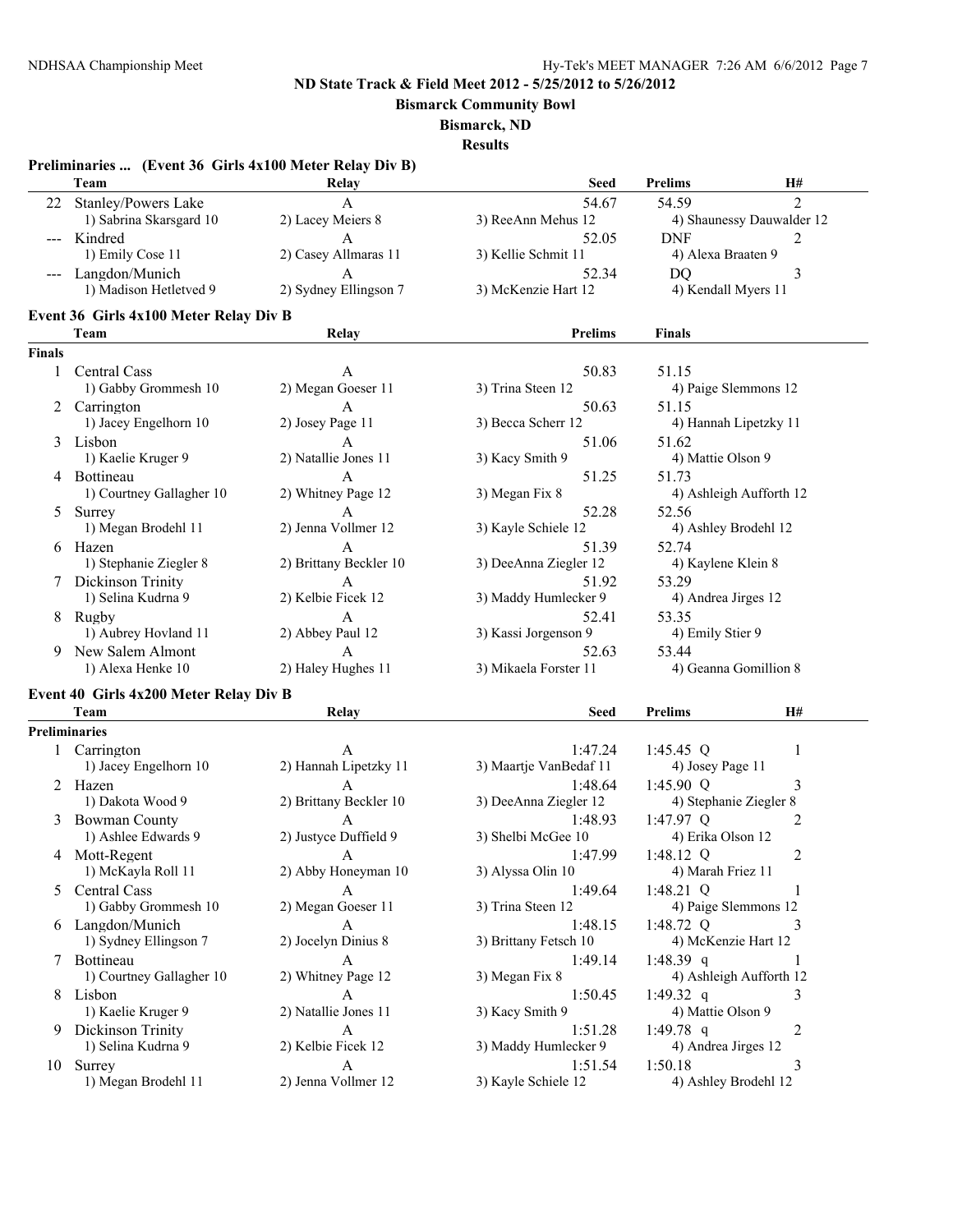**Bismarck Community Bowl**

**Bismarck, ND**

|                                          | Preliminaries  (Event 36 Girls 4x100 Meter Relay Div B)<br>Team | Relay                  | <b>Seed</b>            | <b>Prelims</b>       | H#                        |
|------------------------------------------|-----------------------------------------------------------------|------------------------|------------------------|----------------------|---------------------------|
| 22                                       | <b>Stanley/Powers Lake</b>                                      | A                      | 54.67                  | 54.59                | $\overline{2}$            |
|                                          | 1) Sabrina Skarsgard 10                                         | 2) Lacey Meiers 8      | 3) ReeAnn Mehus 12     |                      | 4) Shaunessy Dauwalder 12 |
| $\hspace{0.05cm} \ldots \hspace{0.05cm}$ | Kindred                                                         | A                      | 52.05                  | <b>DNF</b>           | 2                         |
|                                          | 1) Emily Cose 11                                                | 2) Casey Allmaras 11   | 3) Kellie Schmit 11    | 4) Alexa Braaten 9   |                           |
|                                          | Langdon/Munich                                                  | $\mathbf{A}$           | 52.34                  | D <sub>O</sub>       | 3                         |
|                                          | 1) Madison Hetletved 9                                          | 2) Sydney Ellingson 7  | 3) McKenzie Hart 12    | 4) Kendall Myers 11  |                           |
|                                          | Event 36 Girls 4x100 Meter Relay Div B                          |                        |                        |                      |                           |
|                                          | Team                                                            | Relay                  | <b>Prelims</b>         | <b>Finals</b>        |                           |
| <b>Finals</b>                            |                                                                 |                        |                        |                      |                           |
| 1                                        | Central Cass                                                    | A                      | 50.83                  | 51.15                |                           |
|                                          | 1) Gabby Grommesh 10                                            | 2) Megan Goeser 11     | 3) Trina Steen 12      |                      | 4) Paige Slemmons 12      |
|                                          | Carrington                                                      | A                      | 50.63                  | 51.15                |                           |
|                                          | 1) Jacey Engelhorn 10                                           | 2) Josey Page 11       | 3) Becca Scherr 12     |                      | 4) Hannah Lipetzky 11     |
|                                          | 3 Lisbon                                                        | A                      | 51.06                  | 51.62                |                           |
|                                          | 1) Kaelie Kruger 9                                              | 2) Natallie Jones 11   | 3) Kacy Smith 9        | 4) Mattie Olson 9    |                           |
|                                          | 4 Bottineau                                                     | A                      | 51.25                  | 51.73                |                           |
|                                          | 1) Courtney Gallagher 10                                        | 2) Whitney Page 12     | 3) Megan Fix 8         |                      | 4) Ashleigh Aufforth 12   |
| 5                                        | Surrey                                                          | A                      | 52.28                  | 52.56                |                           |
|                                          | 1) Megan Brodehl 11                                             | 2) Jenna Vollmer 12    | 3) Kayle Schiele 12    | 4) Ashley Brodehl 12 |                           |
|                                          | 6 Hazen                                                         | A                      | 51.39                  | 52.74                |                           |
|                                          | 1) Stephanie Ziegler 8                                          | 2) Brittany Beckler 10 | 3) DeeAnna Ziegler 12  | 4) Kaylene Klein 8   |                           |
|                                          | 7 Dickinson Trinity                                             | A                      | 51.92                  | 53.29                |                           |
|                                          | 1) Selina Kudrna 9                                              | 2) Kelbie Ficek 12     | 3) Maddy Humlecker 9   | 4) Andrea Jirges 12  |                           |
|                                          | 8 Rugby                                                         | A                      | 52.41                  | 53.35                |                           |
|                                          | 1) Aubrey Hovland 11                                            | 2) Abbey Paul 12       | 3) Kassi Jorgenson 9   | 4) Emily Stier 9     |                           |
|                                          | New Salem Almont                                                | A                      | 52.63                  | 53.44                |                           |
|                                          | 1) Alexa Henke 10                                               | 2) Haley Hughes 11     | 3) Mikaela Forster 11  |                      | 4) Geanna Gomillion 8     |
|                                          | Event 40 Girls 4x200 Meter Relay Div B                          |                        |                        |                      |                           |
|                                          | Team                                                            | Relay                  | <b>Seed</b>            | <b>Prelims</b>       | H#                        |
|                                          | <b>Preliminaries</b>                                            |                        |                        |                      |                           |
|                                          | 1 Carrington                                                    | A                      | 1:47.24                | 1:45.45 Q            | 1                         |
|                                          | 1) Jacey Engelhorn 10                                           | 2) Hannah Lipetzky 11  | 3) Maartje VanBedaf 11 | 4) Josey Page 11     |                           |
|                                          | 2 Hazen                                                         | A                      | 1:48.64                | $1:45.90$ Q          | 3                         |
|                                          | 1) Dakota Wood 9                                                | 2) Brittany Beckler 10 | 3) DeeAnna Ziegler 12  |                      | 4) Stephanie Ziegler 8    |
|                                          | 3 Bowman County                                                 | A                      | 1:48.93                | 1:47.97 Q            | 2                         |
|                                          | 1) Ashlee Edwards 9                                             | 2) Justyce Duffield 9  | 3) Shelbi McGee 10     | 4) Erika Olson 12    |                           |
|                                          | 4 Mott-Regent                                                   | $\overline{A}$         |                        | 1:47.99 1:48.12 Q    | 2                         |
|                                          | 1) McKayla Roll 11                                              | 2) Abby Honeyman 10    | 3) Alyssa Olin 10      | 4) Marah Friez 11    |                           |
| 5                                        | Central Cass                                                    | $\mathbf{A}$           | 1:49.64                | $1:48.21$ Q          | 1                         |
|                                          | 1) Gabby Grommesh 10                                            | 2) Megan Goeser 11     | 3) Trina Steen 12      |                      | 4) Paige Slemmons 12      |
|                                          | 6 Langdon/Munich                                                | A                      | 1:48.15                | 1:48.72 $Q$          | 3                         |
|                                          | 1) Sydney Ellingson 7                                           | 2) Jocelyn Dinius 8    | 3) Brittany Fetsch 10  | 4) McKenzie Hart 12  |                           |
|                                          | 7 Bottineau                                                     | A                      | 1:49.14                | 1:48.39 q            |                           |
|                                          | 1) Courtney Gallagher 10                                        | 2) Whitney Page 12     | 3) Megan Fix 8         |                      | 4) Ashleigh Aufforth 12   |
|                                          | 8 Lisbon                                                        | A                      | 1:50.45                | 1:49.32 q            | 3                         |
|                                          | 1) Kaelie Kruger 9                                              | 2) Natallie Jones 11   | 3) Kacy Smith 9        | 4) Mattie Olson 9    |                           |
|                                          | 9 Dickinson Trinity                                             | $\mathbf{A}$           | 1:51.28                | 1:49.78 q            | 2                         |
|                                          | 1) Selina Kudrna 9                                              | 2) Kelbie Ficek 12     | 3) Maddy Humlecker 9   | 4) Andrea Jirges 12  |                           |
|                                          | 10 Surrey                                                       | A                      | 1:51.54                | 1:50.18              | 3                         |
|                                          | 1) Megan Brodehl 11                                             | 2) Jenna Vollmer 12    | 3) Kayle Schiele 12    | 4) Ashley Brodehl 12 |                           |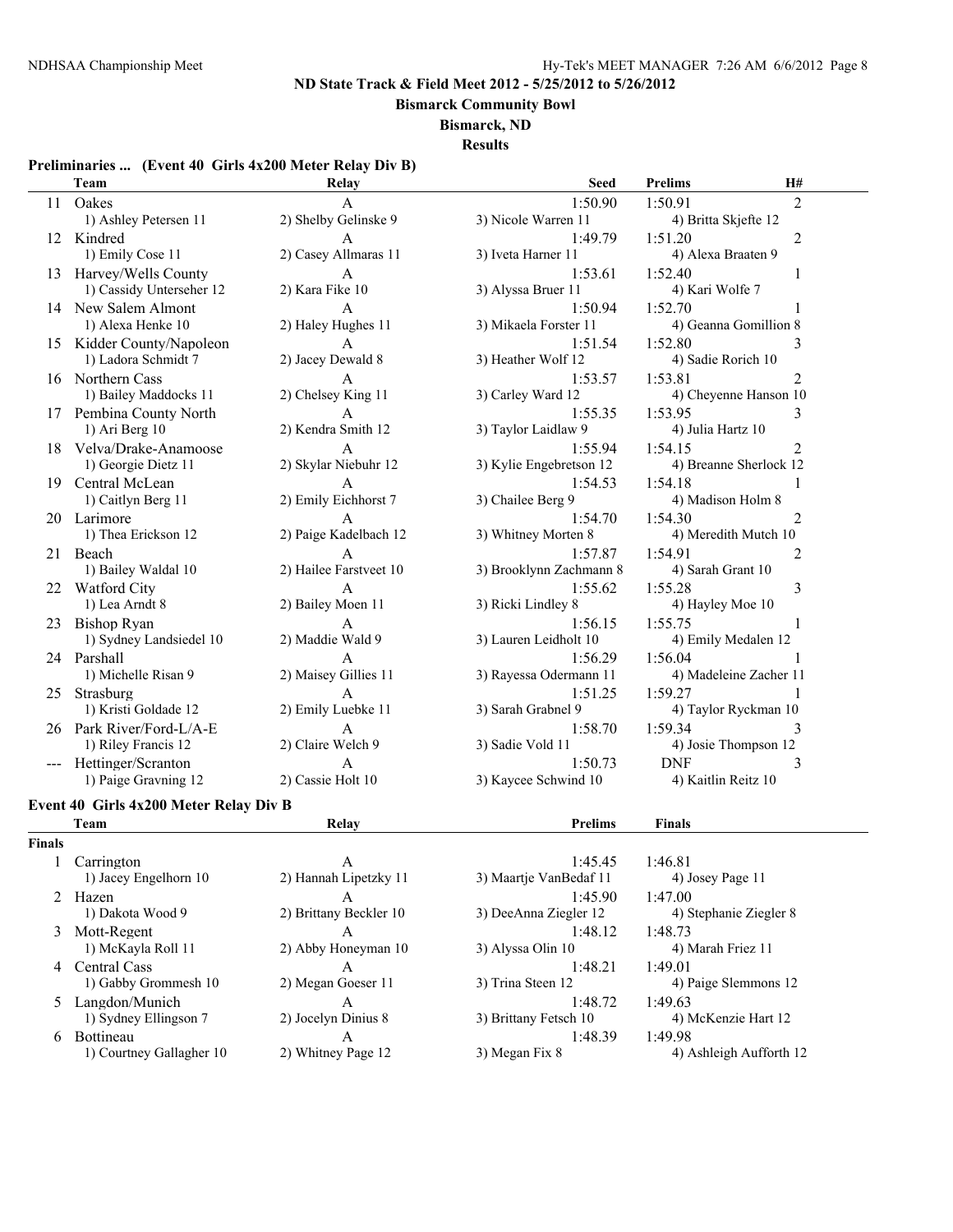**Bismarck Community Bowl**

**Bismarck, ND**

**Results**

# **Preliminaries ... (Event 40 Girls 4x200 Meter Relay Div B)**

|    | Team                      | Relay                  | <b>Seed</b>             | <b>Prelims</b>       | H#                     |
|----|---------------------------|------------------------|-------------------------|----------------------|------------------------|
|    | 11 Oakes                  | A                      | 1:50.90                 | 1:50.91              | $\overline{2}$         |
|    | 1) Ashley Petersen 11     | 2) Shelby Gelinske 9   | 3) Nicole Warren 11     | 4) Britta Skjefte 12 |                        |
|    | 12 Kindred                | A                      | 1:49.79                 | 1:51.20              | 2                      |
|    | 1) Emily Cose 11          | 2) Casey Allmaras 11   | 3) Iveta Harner 11      | 4) Alexa Braaten 9   |                        |
|    | 13 Harvey/Wells County    | $\mathbf{A}$           | 1:53.61                 | 1:52.40              |                        |
|    | 1) Cassidy Unterseher 12  | 2) Kara Fike 10        | 3) Alyssa Bruer 11      | 4) Kari Wolfe 7      |                        |
|    | 14 New Salem Almont       | $\mathsf{A}$           | 1:50.94                 | 1:52.70              |                        |
|    | 1) Alexa Henke 10         | 2) Haley Hughes 11     | 3) Mikaela Forster 11   |                      | 4) Geanna Gomillion 8  |
|    | 15 Kidder County/Napoleon | A                      | 1:51.54                 | 1:52.80              | 3                      |
|    | 1) Ladora Schmidt 7       | 2) Jacey Dewald 8      | 3) Heather Wolf 12      | 4) Sadie Rorich 10   |                        |
| 16 | Northern Cass             | A                      | 1:53.57                 | 1:53.81              | $\overline{2}$         |
|    | 1) Bailey Maddocks 11     | 2) Chelsey King 11     | 3) Carley Ward 12       |                      | 4) Cheyenne Hanson 10  |
|    | 17 Pembina County North   | $\mathsf{A}$           | 1:55.35                 | 1:53.95              | 3                      |
|    | 1) Ari Berg 10            | 2) Kendra Smith 12     | 3) Taylor Laidlaw 9     | 4) Julia Hartz 10    |                        |
|    | 18 Velva/Drake-Anamoose   | $\mathsf{A}$           | 1:55.94                 | 1:54.15              | $\overline{2}$         |
|    | 1) Georgie Dietz 11       | 2) Skylar Niebuhr 12   | 3) Kylie Engebretson 12 |                      | 4) Breanne Sherlock 12 |
| 19 | Central McLean            | $\mathsf{A}$           | 1:54.53                 | 1:54.18              |                        |
|    | 1) Caitlyn Berg 11        | 2) Emily Eichhorst 7   | 3) Chailee Berg 9       | 4) Madison Holm 8    |                        |
| 20 | Larimore                  | $\mathsf{A}$           | 1:54.70                 | 1:54.30              | 2                      |
|    | 1) Thea Erickson 12       | 2) Paige Kadelbach 12  | 3) Whitney Morten 8     | 4) Meredith Mutch 10 |                        |
|    | 21 Beach                  | $\mathsf{A}$           | 1:57.87                 | 1:54.91              | $\overline{2}$         |
|    | 1) Bailey Waldal 10       | 2) Hailee Farstveet 10 | 3) Brooklynn Zachmann 8 | 4) Sarah Grant 10    |                        |
| 22 | Watford City              | $\mathsf{A}$           | 1:55.62                 | 1:55.28              | 3                      |
|    | 1) Lea Arndt 8            | 2) Bailey Moen 11      | 3) Ricki Lindley 8      | 4) Hayley Moe 10     |                        |
| 23 | Bishop Ryan               | $\mathsf{A}$           | 1:56.15                 | 1:55.75              |                        |
|    | 1) Sydney Landsiedel 10   | 2) Maddie Wald 9       | 3) Lauren Leidholt 10   | 4) Emily Medalen 12  |                        |
|    | 24 Parshall               | $\mathsf{A}$           | 1:56.29                 | 1:56.04              |                        |
|    | 1) Michelle Risan 9       | 2) Maisey Gillies 11   | 3) Rayessa Odermann 11  |                      | 4) Madeleine Zacher 11 |
| 25 | Strasburg                 | $\mathsf{A}$           | 1:51.25                 | 1:59.27              |                        |
|    | 1) Kristi Goldade 12      | 2) Emily Luebke 11     | 3) Sarah Grabnel 9      |                      | 4) Taylor Ryckman 10   |
|    | 26 Park River/Ford-L/A-E  | $\mathsf{A}$           | 1:58.70                 | 1:59.34              | 3                      |
|    | 1) Riley Francis 12       | 2) Claire Welch 9      | 3) Sadie Vold 11        | 4) Josie Thompson 12 |                        |
|    | Hettinger/Scranton        | A                      | 1:50.73                 | <b>DNF</b>           | 3                      |
|    | 1) Paige Gravning 12      | 2) Cassie Holt 10      | 3) Kaycee Schwind 10    | 4) Kaitlin Reitz 10  |                        |

# **Event 40 Girls 4x200 Meter Relay Div B**

|               | Team                     | Relay                  | <b>Prelims</b>         | <b>Finals</b>           |
|---------------|--------------------------|------------------------|------------------------|-------------------------|
| <b>Finals</b> |                          |                        |                        |                         |
|               | Carrington               | A                      | 1:45.45                | 1:46.81                 |
|               | 1) Jacey Engelhorn 10    | 2) Hannah Lipetzky 11  | 3) Maartje VanBedaf 11 | 4) Josey Page 11        |
|               | Hazen                    | A                      | 1:45.90                | 1:47.00                 |
|               | 1) Dakota Wood 9         | 2) Brittany Beckler 10 | 3) DeeAnna Ziegler 12  | 4) Stephanie Ziegler 8  |
| 3             | Mott-Regent              | А                      | 1:48.12                | 1:48.73                 |
|               | 1) McKayla Roll 11       | 2) Abby Honeyman 10    | 3) Alyssa Olin 10      | 4) Marah Friez 11       |
| 4             | Central Cass             | A                      | 1:48.21                | 1:49.01                 |
|               | 1) Gabby Grommesh 10     | 2) Megan Goeser 11     | 3) Trina Steen 12      | 4) Paige Slemmons 12    |
|               | Langdon/Munich           | A                      | 1:48.72                | 1:49.63                 |
|               | 1) Sydney Ellingson 7    | 2) Jocelyn Dinius 8    | 3) Brittany Fetsch 10  | 4) McKenzie Hart 12     |
| 6.            | <b>Bottineau</b>         | A                      | 1:48.39                | 1:49.98                 |
|               | 1) Courtney Gallagher 10 | 2) Whitney Page 12     | 3) Megan Fix 8         | 4) Ashleigh Aufforth 12 |
|               |                          |                        |                        |                         |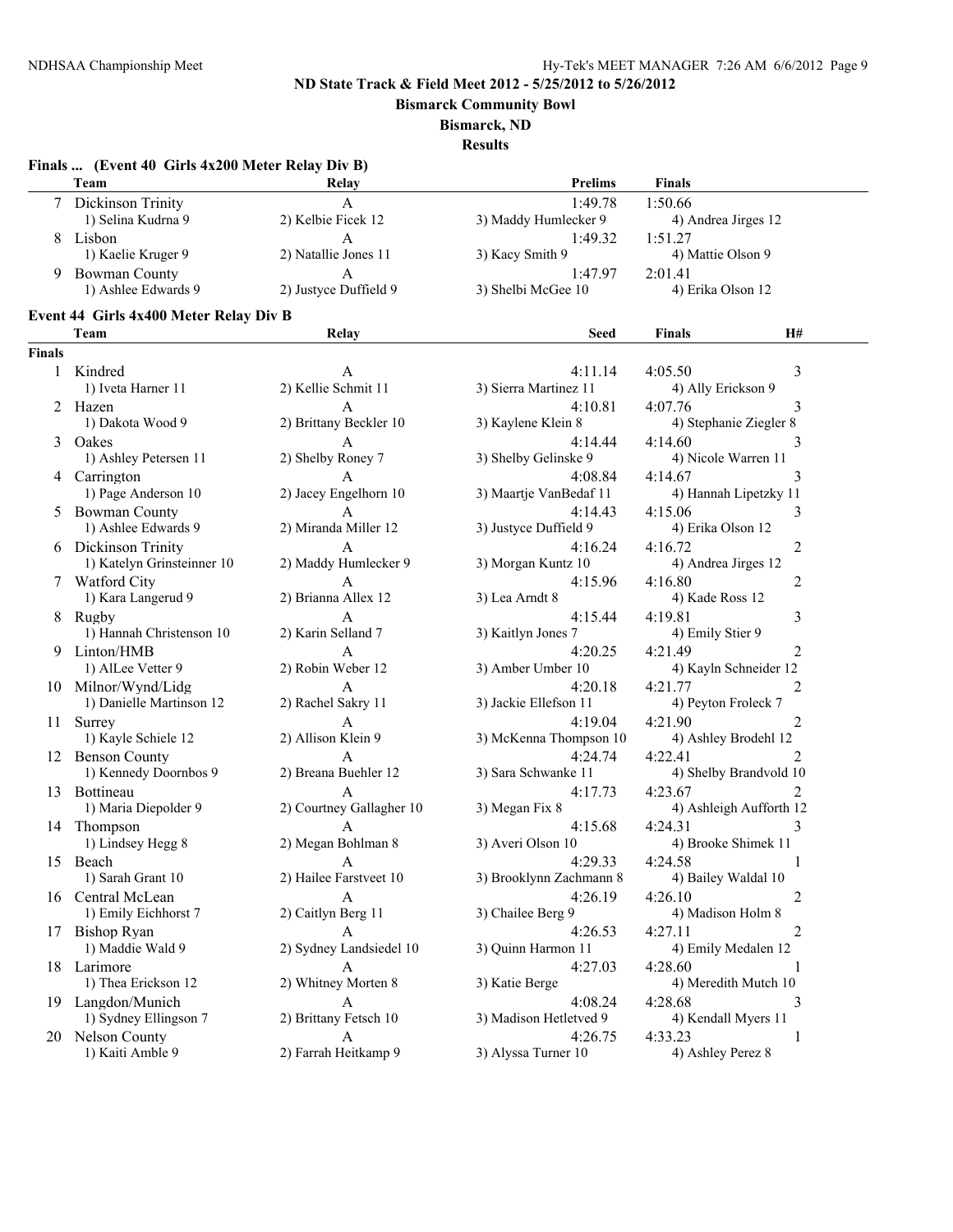**Bismarck Community Bowl**

#### **Bismarck, ND**

**Results**

#### **Finals ... (Event 40 Girls 4x200 Meter Relay Div B)**

|  | Team                | Relay                 | <b>Prelims</b>       | <b>Finals</b>       |  |  |
|--|---------------------|-----------------------|----------------------|---------------------|--|--|
|  | Dickinson Trinity   |                       | 1:49.78              | 1:50.66             |  |  |
|  | 1) Selina Kudrna 9  | 2) Kelbie Ficek 12    | 3) Maddy Humlecker 9 | 4) Andrea Jirges 12 |  |  |
|  | Lisbon              |                       | 1:49.32              | 1:51.27             |  |  |
|  | 1) Kaelie Kruger 9  | 2) Natallie Jones 11  | 3) Kacy Smith 9      | 4) Mattie Olson 9   |  |  |
|  | Bowman County       |                       | 1:47.97              | 2:01.41             |  |  |
|  | 1) Ashlee Edwards 9 | 2) Justyce Duffield 9 | 3) Shelbi McGee 10   | 4) Erika Olson 12   |  |  |
|  |                     |                       |                      |                     |  |  |

# **Event 44 Girls 4x400 Meter Relay Div B**

|        | Event 44 Girls 4x400 Meter Relay Div B |                          |                         |                        |                         |
|--------|----------------------------------------|--------------------------|-------------------------|------------------------|-------------------------|
|        | Team                                   | Relay                    | <b>Seed</b>             | Finals                 | <b>H#</b>               |
| Finals |                                        |                          |                         |                        |                         |
| 1      | Kindred                                | A                        | 4:11.14                 | 4:05.50                | 3                       |
|        | 1) Iveta Harner 11                     | 2) Kellie Schmit 11      | 3) Sierra Martinez 11   | 4) Ally Erickson 9     |                         |
| 2      | Hazen                                  | A                        | 4:10.81                 | 4:07.76                | 3                       |
|        | 1) Dakota Wood 9                       | 2) Brittany Beckler 10   | 3) Kaylene Klein 8      | 4) Stephanie Ziegler 8 |                         |
| 3      | Oakes                                  | A                        | 4:14.44                 | 4:14.60                | 3                       |
|        | 1) Ashley Petersen 11                  | 2) Shelby Roney 7        | 3) Shelby Gelinske 9    | 4) Nicole Warren 11    |                         |
|        | 4 Carrington                           | A                        | 4:08.84                 | 4:14.67                | 3                       |
|        | 1) Page Anderson 10                    | 2) Jacey Engelhorn 10    | 3) Maartje VanBedaf 11  | 4) Hannah Lipetzky 11  |                         |
| 5      | <b>Bowman County</b>                   | A                        | 4:14.43                 | 4:15.06                | 3                       |
|        | 1) Ashlee Edwards 9                    | 2) Miranda Miller 12     | 3) Justyce Duffield 9   | 4) Erika Olson 12      |                         |
|        | 6 Dickinson Trinity                    | A                        | 4:16.24                 | 4:16.72                | 2                       |
|        | 1) Katelyn Grinsteinner 10             | 2) Maddy Humlecker 9     | 3) Morgan Kuntz 10      | 4) Andrea Jirges 12    |                         |
|        | 7 Watford City                         | A                        | 4:15.96                 | 4:16.80                | 2                       |
|        | 1) Kara Langerud 9                     | 2) Brianna Allex 12      | 3) Lea Arndt 8          | 4) Kade Ross 12        |                         |
|        | 8 Rugby                                | A                        | 4:15.44                 | 4:19.81                | 3                       |
|        | 1) Hannah Christenson 10               | 2) Karin Selland 7       | 3) Kaitlyn Jones 7      | 4) Emily Stier 9       |                         |
| 9.     | Linton/HMB                             | A                        | 4:20.25                 | 4:21.49                | 2                       |
|        | 1) AlLee Vetter 9                      | 2) Robin Weber 12        | 3) Amber Umber 10       | 4) Kayln Schneider 12  |                         |
|        | 10 Milnor/Wynd/Lidg                    | A                        | 4:20.18                 | 4:21.77                | 2                       |
|        | 1) Danielle Martinson 12               | 2) Rachel Sakry 11       | 3) Jackie Ellefson 11   | 4) Peyton Froleck 7    |                         |
|        |                                        |                          |                         |                        |                         |
|        | 11 Surrey                              | A                        | 4:19.04                 | 4:21.90                | 2                       |
|        | 1) Kayle Schiele 12                    | 2) Allison Klein 9       | 3) McKenna Thompson 10  | 4) Ashley Brodehl 12   |                         |
|        | 12 Benson County                       | A                        | 4:24.74                 | 4:22.41                | 2                       |
|        | 1) Kennedy Doornbos 9                  | 2) Breana Buehler 12     | 3) Sara Schwanke 11     |                        | 4) Shelby Brandvold 10  |
|        | 13 Bottineau                           | A                        | 4:17.73                 | 4:23.67                | 2                       |
|        | 1) Maria Diepolder 9                   | 2) Courtney Gallagher 10 | 3) Megan Fix 8          |                        | 4) Ashleigh Aufforth 12 |
| 14     | Thompson                               | A                        | 4:15.68                 | 4:24.31                | 3                       |
|        | 1) Lindsey Hegg 8                      | 2) Megan Bohlman 8       | 3) Averi Olson 10       | 4) Brooke Shimek 11    |                         |
|        | 15 Beach                               | A                        | 4:29.33                 | 4:24.58                | 1                       |
|        | 1) Sarah Grant 10                      | 2) Hailee Farstveet 10   | 3) Brooklynn Zachmann 8 | 4) Bailey Waldal 10    |                         |
| 16     | Central McLean                         | A                        | 4:26.19                 | 4:26.10                | 2                       |
|        | 1) Emily Eichhorst 7                   | 2) Caitlyn Berg 11       | 3) Chailee Berg 9       | 4) Madison Holm 8      |                         |
| 17     | Bishop Ryan                            | A                        | 4:26.53                 | 4:27.11                | 2                       |
|        | 1) Maddie Wald 9                       | 2) Sydney Landsiedel 10  | 3) Quinn Harmon 11      | 4) Emily Medalen 12    |                         |
|        | 18 Larimore                            | A                        | 4:27.03                 | 4:28.60                |                         |
|        | 1) Thea Erickson 12                    | 2) Whitney Morten 8      | 3) Katie Berge          | 4) Meredith Mutch 10   |                         |
|        | 19 Langdon/Munich                      | A                        | 4:08.24                 | 4:28.68                | 3                       |
|        | 1) Sydney Ellingson 7                  | 2) Brittany Fetsch 10    | 3) Madison Hetletved 9  | 4) Kendall Myers 11    |                         |
| 20     | Nelson County                          | A                        | 4:26.75                 | 4:33.23                | 1                       |
|        | 1) Kaiti Amble 9                       | 2) Farrah Heitkamp 9     | 3) Alyssa Turner 10     | 4) Ashley Perez 8      |                         |
|        |                                        |                          |                         |                        |                         |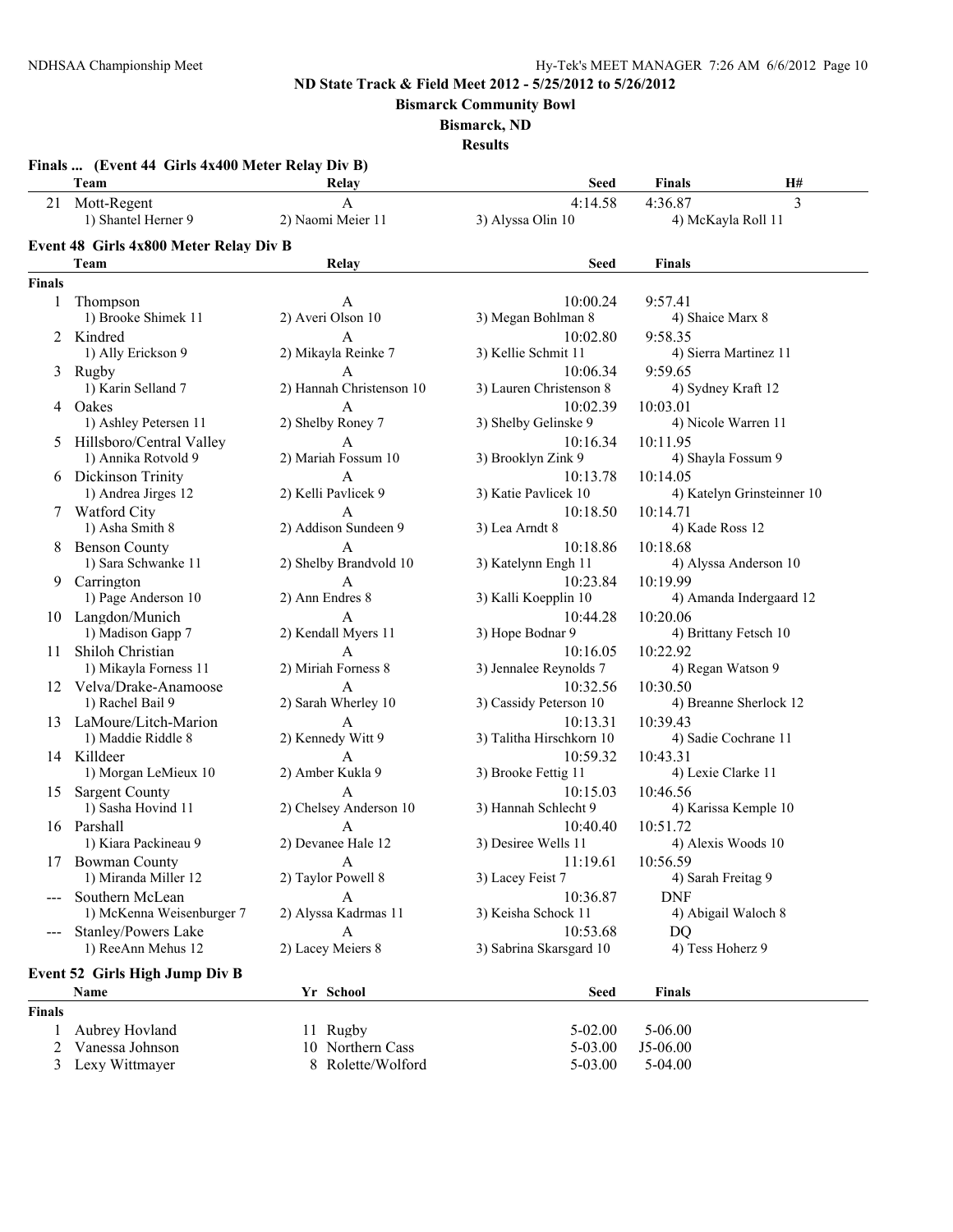**Bismarck Community Bowl**

**Bismarck, ND**

|               | Team                                   | Relay                             | Seed                         | H#<br><b>Finals</b>                |
|---------------|----------------------------------------|-----------------------------------|------------------------------|------------------------------------|
| 21            | Mott-Regent<br>1) Shantel Herner 9     | $\mathbf{A}$<br>2) Naomi Meier 11 | 4:14.58<br>3) Alyssa Olin 10 | 3<br>4:36.87<br>4) McKayla Roll 11 |
|               | Event 48 Girls 4x800 Meter Relay Div B |                                   |                              |                                    |
|               | Team                                   | Relay                             | <b>Seed</b>                  | Finals                             |
| <b>Finals</b> |                                        |                                   |                              |                                    |
| 1             | Thompson                               | A                                 | 10:00.24                     | 9:57.41                            |
|               | 1) Brooke Shimek 11                    | 2) Averi Olson 10                 | 3) Megan Bohlman 8           | 4) Shaice Marx 8                   |
|               | 2 Kindred                              | A                                 | 10:02.80                     | 9:58.35                            |
|               | 1) Ally Erickson 9                     | 2) Mikayla Reinke 7               | 3) Kellie Schmit 11          | 4) Sierra Martinez 11              |
|               | 3 Rugby                                | $\overline{A}$                    | 10:06.34                     | 9:59.65                            |
|               | 1) Karin Selland 7                     | 2) Hannah Christenson 10          | 3) Lauren Christenson 8      | 4) Sydney Kraft 12                 |
|               | 4 Oakes                                | A                                 | 10:02.39                     | 10:03.01                           |
|               | 1) Ashley Petersen 11                  | 2) Shelby Roney 7                 | 3) Shelby Gelinske 9         | 4) Nicole Warren 11                |
|               | 5 Hillsboro/Central Valley             | A                                 | 10:16.34                     | 10:11.95                           |
|               | 1) Annika Rotvold 9                    | 2) Mariah Fossum 10               | 3) Brooklyn Zink 9           | 4) Shayla Fossum 9                 |
|               | 6 Dickinson Trinity                    | A                                 | 10:13.78                     | 10:14.05                           |
|               | 1) Andrea Jirges 12                    | 2) Kelli Pavlicek 9               | 3) Katie Pavlicek 10         | 4) Katelyn Grinsteinner 10         |
|               | 7 Watford City                         | $\mathbf{A}$                      | 10:18.50                     | 10:14.71                           |
|               | 1) Asha Smith 8                        | 2) Addison Sundeen 9              | 3) Lea Arndt 8               | 4) Kade Ross 12                    |
|               | 8 Benson County                        | A                                 | 10:18.86                     | 10:18.68                           |
|               | 1) Sara Schwanke 11                    | 2) Shelby Brandvold 10            | 3) Katelynn Engh 11          | 4) Alyssa Anderson 10              |
| 9.            | Carrington                             | A                                 | 10:23.84                     | 10:19.99                           |
|               | 1) Page Anderson 10                    | 2) Ann Endres 8                   | 3) Kalli Koepplin 10         | 4) Amanda Indergaard 12            |
|               | 10 Langdon/Munich                      | A                                 | 10:44.28                     | 10:20.06                           |
|               | 1) Madison Gapp 7                      | 2) Kendall Myers 11               | 3) Hope Bodnar 9             | 4) Brittany Fetsch 10              |
| 11            | Shiloh Christian                       | A                                 | 10:16.05                     | 10:22.92                           |
|               | 1) Mikayla Forness 11                  | 2) Miriah Forness 8               | 3) Jennalee Reynolds 7       | 4) Regan Watson 9                  |
|               | 12 Velva/Drake-Anamoose                | A                                 | 10:32.56                     | 10:30.50                           |
|               | 1) Rachel Bail 9                       | 2) Sarah Wherley 10               | 3) Cassidy Peterson 10       | 4) Breanne Sherlock 12             |
|               | 13 LaMoure/Litch-Marion                | A                                 | 10:13.31                     | 10:39.43                           |
|               | 1) Maddie Riddle 8                     | 2) Kennedy Witt 9                 | 3) Talitha Hirschkorn 10     | 4) Sadie Cochrane 11               |
|               | 14 Killdeer                            | $\mathbf{A}$                      | 10:59.32                     | 10:43.31                           |
|               | 1) Morgan LeMieux 10                   | 2) Amber Kukla 9                  | 3) Brooke Fettig 11          | 4) Lexie Clarke 11                 |
| 15            | <b>Sargent County</b>                  | $\mathbf{A}$                      | 10:15.03                     | 10:46.56                           |
|               | 1) Sasha Hovind 11                     | 2) Chelsey Anderson 10            | 3) Hannah Schlecht 9         | 4) Karissa Kemple 10               |
|               | 16 Parshall                            | A                                 | 10:40.40                     | 10:51.72                           |
|               | 1) Kiara Packineau 9                   | 2) Devanee Hale 12                | 3) Desiree Wells 11          | 4) Alexis Woods 10                 |
| 17            | <b>Bowman County</b>                   |                                   | 11:19.61                     | 10:56.59                           |
|               | 1) Miranda Miller 12                   | A<br>2) Taylor Powell 8           | 3) Lacey Feist 7             | 4) Sarah Freitag 9                 |
|               | Southern McLean                        | A                                 | 10:36.87                     | <b>DNF</b>                         |
|               | 1) McKenna Weisenburger 7              | 2) Alyssa Kadrmas 11              | 3) Keisha Schock 11          | 4) Abigail Waloch 8                |
|               | Stanley/Powers Lake                    | A                                 | 10:53.68                     | <b>DQ</b>                          |
| $---$         | 1) ReeAnn Mehus 12                     | 2) Lacey Meiers 8                 | 3) Sabrina Skarsgard 10      | 4) Tess Hoherz 9                   |
|               |                                        |                                   |                              |                                    |
|               | Event 52 Girls High Jump Div B         |                                   |                              |                                    |
|               | Name                                   | Yr School                         | <b>Seed</b>                  | <b>Finals</b>                      |
| <b>Finals</b> |                                        |                                   |                              |                                    |
| 1             | Aubrey Hovland                         | 11 Rugby                          | 5-02.00                      | $5 - 06.00$                        |
| 2             | Vanessa Johnson                        | 10 Northern Cass                  | 5-03.00                      | J5-06.00                           |
| 3             | Lexy Wittmayer                         | 8 Rolette/Wolford                 | 5-03.00                      | $5-04.00$                          |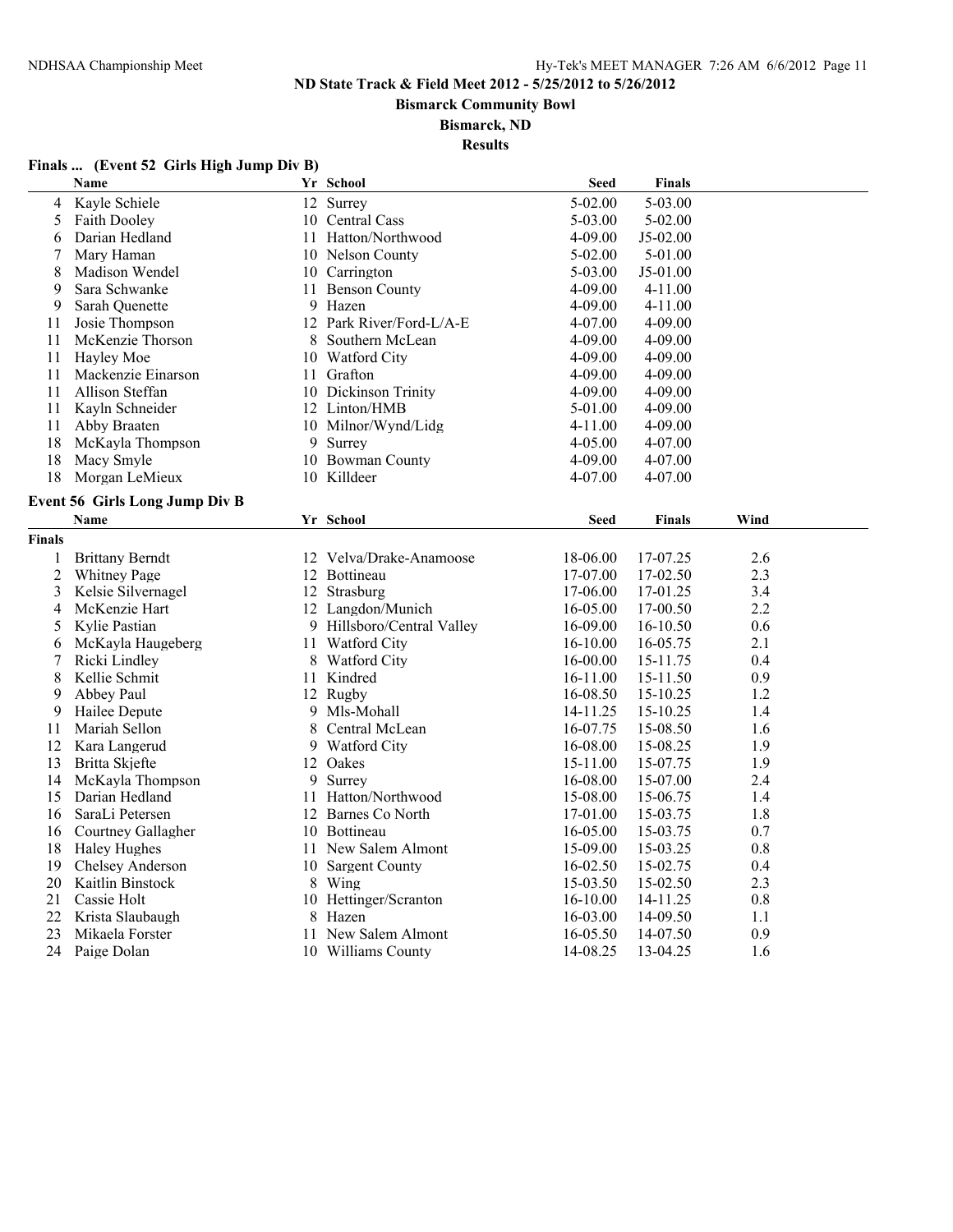**Bismarck Community Bowl**

#### **Bismarck, ND**

**Results**

# **Finals ... (Event 52 Girls High Jump Div B)**

|                | Name                                  |    | Yr School                                       | <b>Seed</b>              | <b>Finals</b>        |            |
|----------------|---------------------------------------|----|-------------------------------------------------|--------------------------|----------------------|------------|
| 4              | Kayle Schiele                         |    | 12 Surrey                                       | $5 - 02.00$              | $5 - 03.00$          |            |
| 5              | <b>Faith Dooley</b>                   |    | 10 Central Cass                                 | 5-03.00                  | $5 - 02.00$          |            |
| 6              | Darian Hedland                        |    | 11 Hatton/Northwood                             | 4-09.00                  | $J5-02.00$           |            |
| 7              | Mary Haman                            |    | 10 Nelson County                                | $5-02.00$                | $5-01.00$            |            |
| 8              | Madison Wendel                        |    | 10 Carrington                                   | 5-03.00                  | J5-01.00             |            |
| 9              | Sara Schwanke                         | 11 | <b>Benson County</b>                            | 4-09.00                  | 4-11.00              |            |
| 9              | Sarah Ouenette                        |    | 9 Hazen                                         | 4-09.00                  | $4 - 11.00$          |            |
| 11             | Josie Thompson                        |    | 12 Park River/Ford-L/A-E                        | 4-07.00                  | 4-09.00              |            |
| 11             | McKenzie Thorson                      | 8  | Southern McLean                                 | 4-09.00                  | 4-09.00              |            |
| 11             | Hayley Moe                            |    | 10 Watford City                                 | 4-09.00                  | 4-09.00              |            |
| 11             | Mackenzie Einarson                    |    | 11 Grafton                                      | 4-09.00                  | $4 - 09.00$          |            |
| 11             | Allison Steffan                       |    | 10 Dickinson Trinity                            | 4-09.00                  | 4-09.00              |            |
| 11             | Kayln Schneider                       |    | 12 Linton/HMB                                   | 5-01.00                  | 4-09.00              |            |
| 11             | Abby Braaten                          |    | 10 Milnor/Wynd/Lidg                             | 4-11.00                  | 4-09.00              |            |
| 18             | McKayla Thompson                      |    | 9 Surrey                                        | 4-05.00                  | $4 - 07.00$          |            |
| 18             | Macy Smyle                            |    | 10 Bowman County                                | 4-09.00                  | 4-07.00              |            |
| 18             | Morgan LeMieux                        |    | 10 Killdeer                                     | 4-07.00                  | 4-07.00              |            |
|                | <b>Event 56 Girls Long Jump Div B</b> |    |                                                 |                          |                      |            |
|                | <b>Name</b>                           |    | Yr School                                       | <b>Seed</b>              | <b>Finals</b>        | Wind       |
| <b>Finals</b>  |                                       |    |                                                 |                          |                      |            |
|                | <b>Brittany Berndt</b>                |    | 12 Velva/Drake-Anamoose                         |                          | 17-07.25             | 2.6        |
| 1              |                                       |    | 12 Bottineau                                    | 18-06.00<br>17-07.00     | 17-02.50             | 2.3        |
| $\overline{2}$ | Whitney Page<br>Kelsie Silvernagel    |    |                                                 |                          |                      | 3.4        |
| 3              |                                       |    | 12 Strasburg                                    | 17-06.00                 | 17-01.25             | 2.2        |
| 4              | McKenzie Hart                         |    | 12 Langdon/Munich<br>9 Hillsboro/Central Valley | 16-05.00                 | 17-00.50             |            |
| 5              | Kylie Pastian                         |    |                                                 | 16-09.00<br>$16 - 10.00$ | 16-10.50<br>16-05.75 | 0.6<br>2.1 |
| 6              | McKayla Haugeberg<br>Ricki Lindley    |    | 11 Watford City<br>8 Watford City               | 16-00.00                 | 15-11.75             | 0.4        |
| 7<br>8         | Kellie Schmit                         |    | 11 Kindred                                      | 16-11.00                 | 15-11.50             | 0.9        |
| 9              | Abbey Paul                            |    | 12 Rugby                                        | 16-08.50                 |                      | 1.2        |
| 9              |                                       |    | 9 Mls-Mohall                                    |                          | 15-10.25             | 1.4        |
| 11             | Hailee Depute<br>Mariah Sellon        | 8  | Central McLean                                  | 14-11.25<br>16-07.75     | 15-10.25<br>15-08.50 | 1.6        |
| 12             | Kara Langerud                         |    |                                                 | 16-08.00                 | 15-08.25             | 1.9        |
| 13             | Britta Skjefte                        |    | 9 Watford City<br>12 Oakes                      | 15-11.00                 | 15-07.75             | 1.9        |
| 14             | McKayla Thompson                      | 9  | Surrey                                          | 16-08.00                 | 15-07.00             | 2.4        |
| 15             | Darian Hedland                        |    | 11 Hatton/Northwood                             | 15-08.00                 | 15-06.75             | 1.4        |
| 16             | SaraLi Petersen                       |    | 12 Barnes Co North                              | 17-01.00                 | 15-03.75             | 1.8        |
| 16             | Courtney Gallagher                    | 10 | Bottineau                                       | 16-05.00                 | 15-03.75             | 0.7        |
| 18             | <b>Haley Hughes</b>                   |    | 11 New Salem Almont                             | 15-09.00                 | 15-03.25             | 0.8        |
| 19             | Chelsey Anderson                      |    | 10 Sargent County                               | 16-02.50                 | 15-02.75             | 0.4        |
| 20             | Kaitlin Binstock                      |    | 8 Wing                                          | 15-03.50                 | 15-02.50             | 2.3        |
| 21             | Cassie Holt                           |    | 10 Hettinger/Scranton                           | 16-10.00                 | 14-11.25             | 0.8        |
| 22             | Krista Slaubaugh                      | 8  | Hazen                                           | 16-03.00                 | 14-09.50             | 1.1        |
| 23             | Mikaela Forster                       |    | 11 New Salem Almont                             | 16-05.50                 | 14-07.50             | 0.9        |
| 24             | Paige Dolan                           |    | 10 Williams County                              | 14-08.25                 | 13-04.25             | 1.6        |
|                |                                       |    |                                                 |                          |                      |            |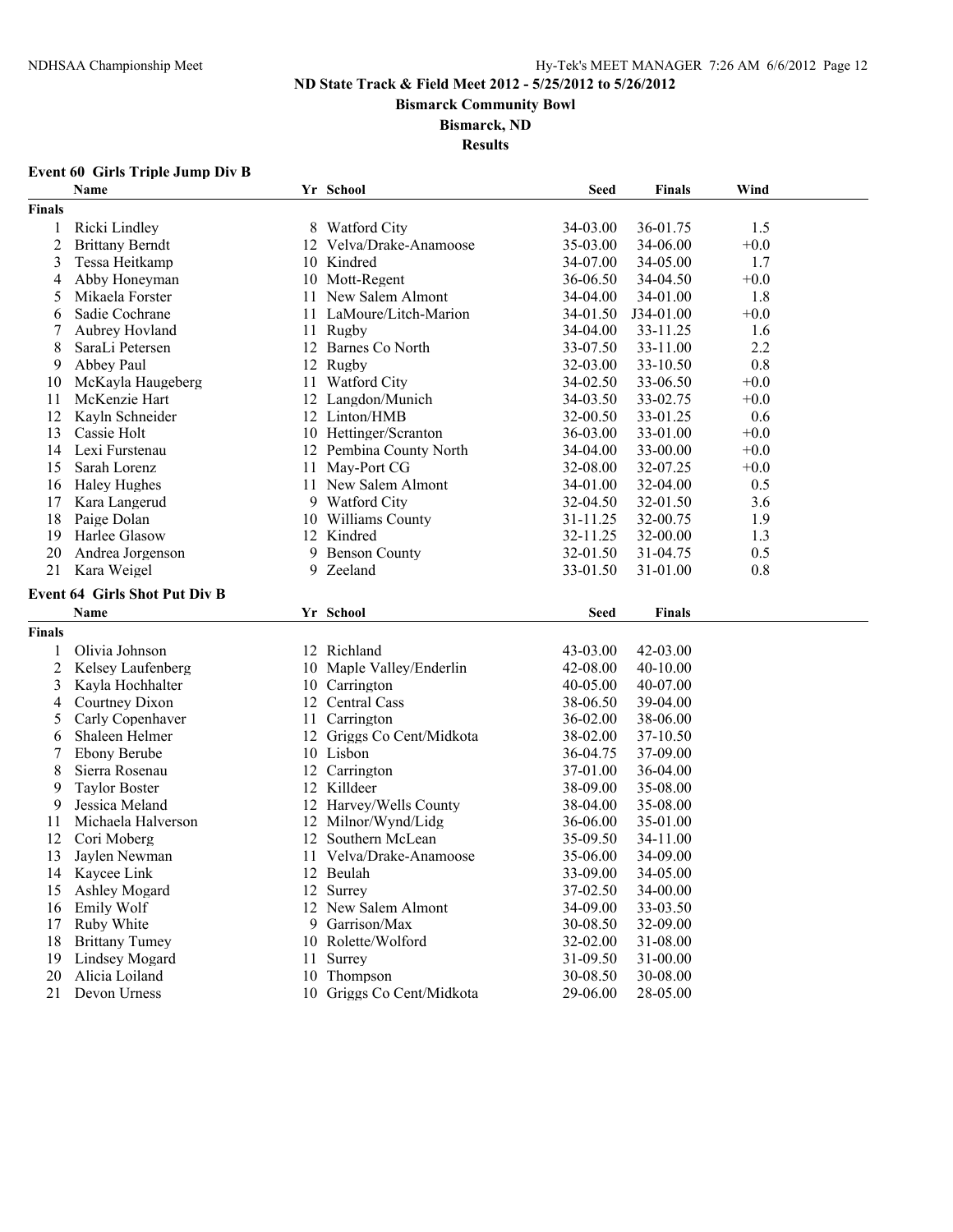**Bismarck Community Bowl**

#### **Bismarck, ND**

**Results**

# **Event 60 Girls Triple Jump Div B**

|                | Name                                 |    | Yr School                 | <b>Seed</b> | <b>Finals</b> | Wind   |  |
|----------------|--------------------------------------|----|---------------------------|-------------|---------------|--------|--|
| <b>Finals</b>  |                                      |    |                           |             |               |        |  |
| 1              | Ricki Lindley                        |    | 8 Watford City            | 34-03.00    | 36-01.75      | 1.5    |  |
| $\overline{c}$ | <b>Brittany Berndt</b>               |    | 12 Velva/Drake-Anamoose   | 35-03.00    | 34-06.00      | $+0.0$ |  |
| 3              | Tessa Heitkamp                       |    | 10 Kindred                | 34-07.00    | 34-05.00      | 1.7    |  |
| 4              | Abby Honeyman                        |    | 10 Mott-Regent            | 36-06.50    | 34-04.50      | $+0.0$ |  |
| 5              | Mikaela Forster                      |    | 11 New Salem Almont       | 34-04.00    | 34-01.00      | 1.8    |  |
| 6              | Sadie Cochrane                       |    | 11 LaMoure/Litch-Marion   | 34-01.50    | J34-01.00     | $+0.0$ |  |
| 7              | Aubrey Hovland                       |    | 11 Rugby                  | 34-04.00    | 33-11.25      | 1.6    |  |
| 8              | SaraLi Petersen                      |    | 12 Barnes Co North        | 33-07.50    | 33-11.00      | 2.2    |  |
| 9              | Abbey Paul                           |    | 12 Rugby                  | 32-03.00    | 33-10.50      | 0.8    |  |
| 10             | McKayla Haugeberg                    |    | 11 Watford City           | 34-02.50    | 33-06.50      | $+0.0$ |  |
| 11             | McKenzie Hart                        |    | 12 Langdon/Munich         | 34-03.50    | 33-02.75      | $+0.0$ |  |
| 12             | Kayln Schneider                      |    | 12 Linton/HMB             | 32-00.50    | 33-01.25      | 0.6    |  |
| 13             | Cassie Holt                          |    | 10 Hettinger/Scranton     | 36-03.00    | 33-01.00      | $+0.0$ |  |
| 14             | Lexi Furstenau                       |    | 12 Pembina County North   | 34-04.00    | 33-00.00      | $+0.0$ |  |
| 15             | Sarah Lorenz                         |    | 11 May-Port CG            | 32-08.00    | 32-07.25      | $+0.0$ |  |
| 16             | <b>Haley Hughes</b>                  |    | 11 New Salem Almont       | 34-01.00    | 32-04.00      | 0.5    |  |
| 17             | Kara Langerud                        |    | 9 Watford City            | 32-04.50    | 32-01.50      | 3.6    |  |
| 18             | Paige Dolan                          |    | 10 Williams County        | 31-11.25    | 32-00.75      | 1.9    |  |
| 19             | Harlee Glasow                        |    | 12 Kindred                | 32-11.25    | 32-00.00      | 1.3    |  |
| 20             | Andrea Jorgenson                     | 9  | <b>Benson County</b>      | 32-01.50    | 31-04.75      | 0.5    |  |
| 21             | Kara Weigel                          | 9. | Zeeland                   | 33-01.50    | 31-01.00      | 0.8    |  |
|                |                                      |    |                           |             |               |        |  |
|                | <b>Event 64 Girls Shot Put Div B</b> |    |                           |             |               |        |  |
|                | Name                                 |    | Yr School                 | <b>Seed</b> | <b>Finals</b> |        |  |
| <b>Finals</b>  |                                      |    |                           |             |               |        |  |
| 1              | Olivia Johnson                       |    | 12 Richland               | 43-03.00    | 42-03.00      |        |  |
| $\overline{2}$ | Kelsey Laufenberg                    |    | 10 Maple Valley/Enderlin  | 42-08.00    | 40-10.00      |        |  |
| 3              | Kayla Hochhalter                     |    | 10 Carrington             | 40-05.00    | 40-07.00      |        |  |
| 4              | Courtney Dixon                       |    | 12 Central Cass           | 38-06.50    | 39-04.00      |        |  |
| 5              | Carly Copenhaver                     |    | 11 Carrington             | 36-02.00    | 38-06.00      |        |  |
| 6              | Shaleen Helmer                       |    | 12 Griggs Co Cent/Midkota | 38-02.00    | 37-10.50      |        |  |
| 7              | <b>Ebony Berube</b>                  |    | 10 Lisbon                 | 36-04.75    | 37-09.00      |        |  |
| 8              | Sierra Rosenau                       |    | 12 Carrington             | 37-01.00    | 36-04.00      |        |  |
| 9              | <b>Taylor Boster</b>                 |    | 12 Killdeer               | 38-09.00    | 35-08.00      |        |  |
| 9              | Jessica Meland                       |    | 12 Harvey/Wells County    | 38-04.00    | 35-08.00      |        |  |
| 11             | Michaela Halverson                   |    | 12 Milnor/Wynd/Lidg       | 36-06.00    | 35-01.00      |        |  |
| 12             | Cori Moberg                          |    | 12 Southern McLean        | 35-09.50    | 34-11.00      |        |  |
| 13             | Jaylen Newman                        | 11 | Velva/Drake-Anamoose      | 35-06.00    | 34-09.00      |        |  |
| 14             | Kaycee Link                          |    | 12 Beulah                 | 33-09.00    | 34-05.00      |        |  |
| 15             | <b>Ashley Mogard</b>                 |    | 12 Surrey                 | 37-02.50    | 34-00.00      |        |  |
| 16             | <b>Emily Wolf</b>                    |    | 12 New Salem Almont       | 34-09.00    | 33-03.50      |        |  |
| 17             | Ruby White                           |    | 9 Garrison/Max            | 30-08.50    | 32-09.00      |        |  |
| 18             | <b>Brittany Tumey</b>                |    | 10 Rolette/Wolford        | 32-02.00    | 31-08.00      |        |  |
| 19             | Lindsey Mogard                       | 11 | Surrey                    | 31-09.50    | 31-00.00      |        |  |
| 20             | Alicia Loiland                       |    | 10 Thompson               | 30-08.50    | 30-08.00      |        |  |
| 21             | Devon Urness                         |    | 10 Griggs Co Cent/Midkota | 29-06.00    | 28-05.00      |        |  |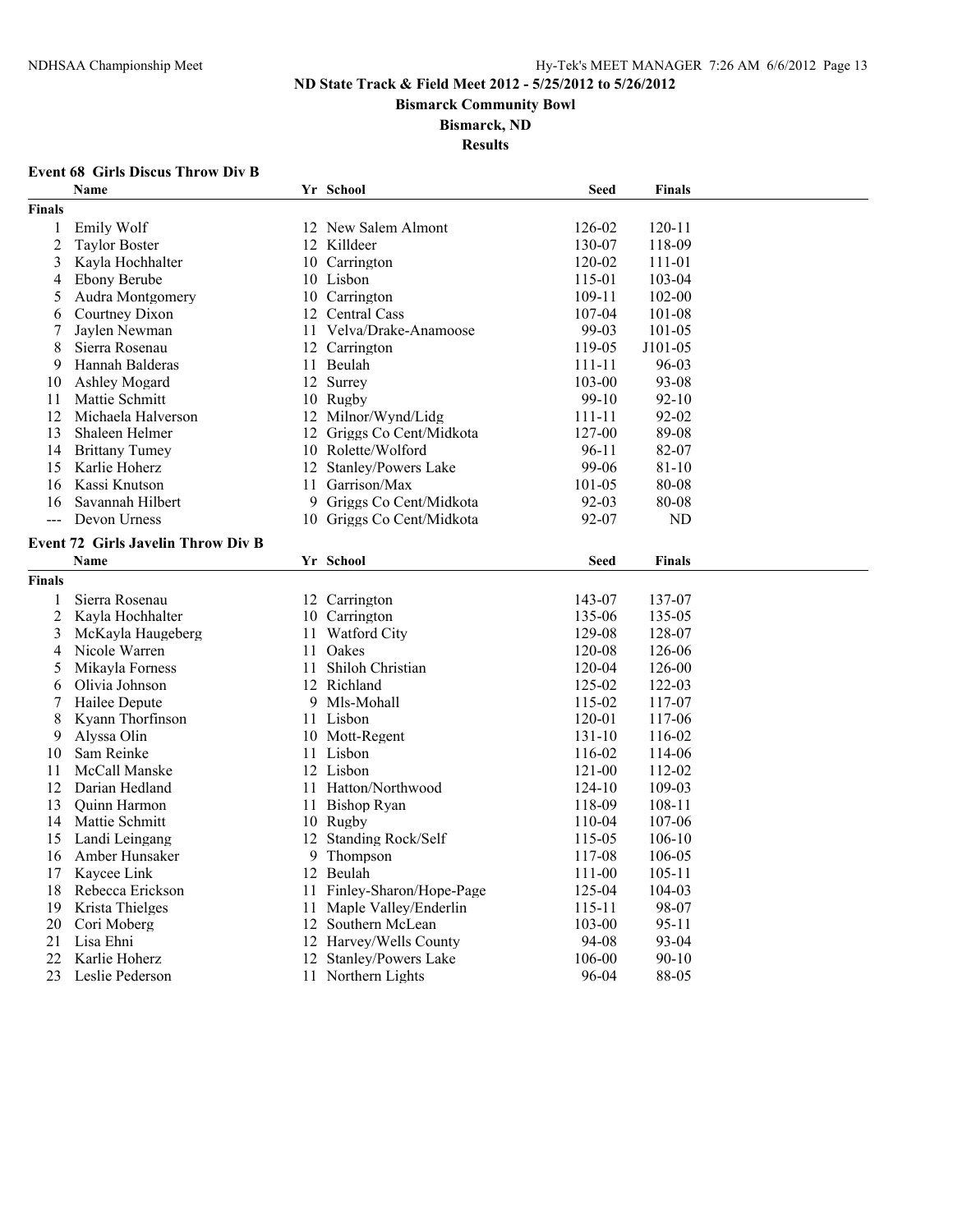**Bismarck Community Bowl**

#### **Bismarck, ND**

**Results**

# **Event 68 Girls Discus Throw Div B**

|                | Name                                      |    | Yr School                 | <b>Seed</b> | <b>Finals</b> |  |
|----------------|-------------------------------------------|----|---------------------------|-------------|---------------|--|
| <b>Finals</b>  |                                           |    |                           |             |               |  |
| 1              | Emily Wolf                                |    | 12 New Salem Almont       | 126-02      | $120 - 11$    |  |
| $\overline{2}$ | <b>Taylor Boster</b>                      |    | 12 Killdeer               | 130-07      | 118-09        |  |
| 3              | Kayla Hochhalter                          |    | 10 Carrington             | 120-02      | 111-01        |  |
| 4              | Ebony Berube                              |    | 10 Lisbon                 | 115-01      | 103-04        |  |
| 5              | Audra Montgomery                          |    | 10 Carrington             | 109-11      | 102-00        |  |
| 6              | Courtney Dixon                            |    | 12 Central Cass           | 107-04      | 101-08        |  |
| 7              | Jaylen Newman                             |    | 11 Velva/Drake-Anamoose   | 99-03       | 101-05        |  |
| 8              | Sierra Rosenau                            |    | 12 Carrington             | 119-05      | J101-05       |  |
| 9              | Hannah Balderas                           |    | 11 Beulah                 | $111 - 11$  | 96-03         |  |
| 10             | <b>Ashley Mogard</b>                      |    | 12 Surrey                 | 103-00      | 93-08         |  |
| 11             | Mattie Schmitt                            |    | 10 Rugby                  | $99-10$     | $92 - 10$     |  |
| 12             | Michaela Halverson                        |    | 12 Milnor/Wynd/Lidg       | 111-11      | 92-02         |  |
| 13             | Shaleen Helmer                            |    | 12 Griggs Co Cent/Midkota | 127-00      | 89-08         |  |
| 14             | <b>Brittany Tumey</b>                     |    | 10 Rolette/Wolford        | $96 - 11$   | 82-07         |  |
| 15             | Karlie Hoherz                             |    | 12 Stanley/Powers Lake    | 99-06       | 81-10         |  |
| 16             | Kassi Knutson                             | 11 | Garrison/Max              | 101-05      | 80-08         |  |
| 16             | Savannah Hilbert                          |    | 9 Griggs Co Cent/Midkota  | 92-03       | 80-08         |  |
| $\overline{a}$ | Devon Urness                              |    | 10 Griggs Co Cent/Midkota | 92-07       | ND            |  |
|                | <b>Event 72 Girls Javelin Throw Div B</b> |    |                           |             |               |  |
|                | <b>Name</b>                               |    | Yr School                 | <b>Seed</b> | <b>Finals</b> |  |
| Finals         |                                           |    |                           |             |               |  |
| $\mathbf{1}$   | Sierra Rosenau                            |    | 12 Carrington             | 143-07      | 137-07        |  |
| $\overline{c}$ | Kavla Hochhalter                          |    | 10 Carrington             | 135-06      | 135-05        |  |
| 3              | McKayla Haugeberg                         | 11 | <b>Watford City</b>       | 129-08      | 128-07        |  |
| 4              | Nicole Warren                             | 11 | Oakes                     | 120-08      | 126-06        |  |
| 5              | Mikayla Forness                           |    | 11 Shiloh Christian       | 120-04      | 126-00        |  |
| 6              | Olivia Johnson                            |    | 12 Richland               | 125-02      | 122-03        |  |
| 7              | Hailee Depute                             |    | 9 Mls-Mohall              | 115-02      | 117-07        |  |
| 8              | Kyann Thorfinson                          |    | 11 Lisbon                 | 120-01      | 117-06        |  |
| 9              | Alyssa Olin                               |    | 10 Mott-Regent            | 131-10      | 116-02        |  |
| 10             | Sam Reinke                                |    | 11 Lisbon                 | 116-02      | 114-06        |  |
| 11             | McCall Manske                             |    | 12 Lisbon                 | 121-00      | 112-02        |  |
| 12             | Darian Hedland                            |    | 11 Hatton/Northwood       | $124 - 10$  | 109-03        |  |
| 13             | Quinn Harmon                              | 11 | Bishop Ryan               | 118-09      | $108 - 11$    |  |
| 14             | Mattie Schmitt                            |    | 10 Rugby                  | 110-04      | 107-06        |  |
| 15             | Landi Leingang                            |    | 12 Standing Rock/Self     | 115-05      | 106-10        |  |
| 16             | Amber Hunsaker                            | 9  | Thompson                  | 117-08      | 106-05        |  |
| 17             | Kaycee Link                               |    | 12 Beulah                 | 111-00      | $105 - 11$    |  |
| 18             | Rebecca Erickson                          | 11 | Finley-Sharon/Hope-Page   | 125-04      | 104-03        |  |
| 19             | Krista Thielges                           | 11 | Maple Valley/Enderlin     | 115-11      | 98-07         |  |
| 20             | Cori Moberg                               |    | 12 Southern McLean        | 103-00      | 95-11         |  |
| 21             | Lisa Ehni                                 |    | 12 Harvey/Wells County    | 94-08       | 93-04         |  |
| 22             | Karlie Hoherz                             |    | 12 Stanley/Powers Lake    | 106-00      | $90 - 10$     |  |
| 23             | Leslie Pederson                           |    | 11 Northern Lights        | 96-04       | 88-05         |  |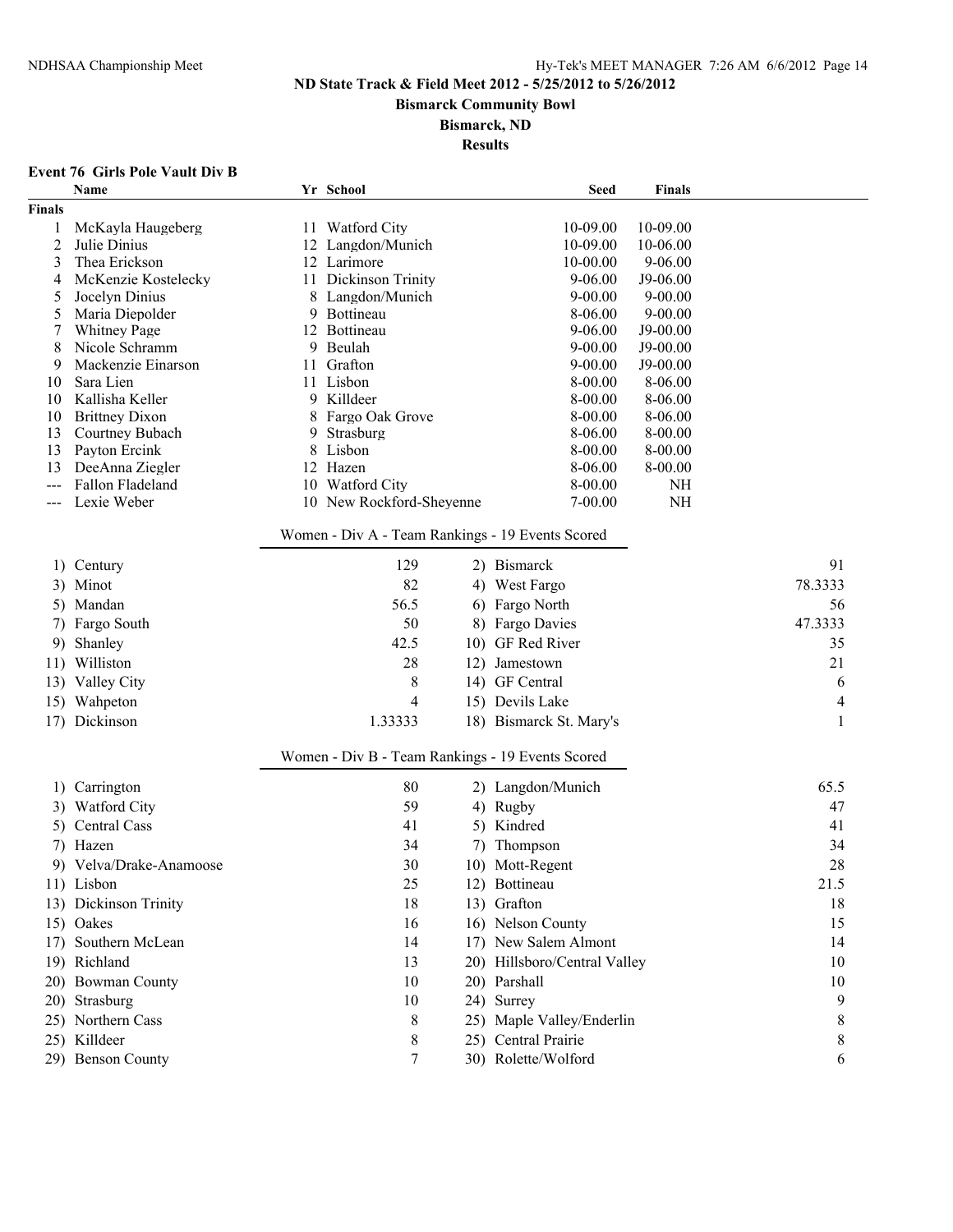**Bismarck Community Bowl**

#### **Bismarck, ND**

**Results**

# **Event 76 Girls Pole Vault Div B**

|                                                  | Name                         |    | Yr School                                        |     | <b>Seed</b>                  | Finals             |         |
|--------------------------------------------------|------------------------------|----|--------------------------------------------------|-----|------------------------------|--------------------|---------|
| Finals                                           |                              |    |                                                  |     |                              |                    |         |
| 1                                                | McKayla Haugeberg            |    | 11 Watford City                                  |     | 10-09.00                     | 10-09.00           |         |
| 2                                                | Julie Dinius                 |    | 12 Langdon/Munich                                |     | 10-09.00                     | 10-06.00           |         |
| 3                                                | Thea Erickson                |    | 12 Larimore                                      |     | 10-00.00                     | $9 - 06.00$        |         |
| 4                                                | McKenzie Kostelecky          |    | 11 Dickinson Trinity                             |     | $9 - 06.00$                  | J9-06.00           |         |
| 5                                                | Jocelyn Dinius               | 8  | Langdon/Munich                                   |     | $9 - 00.00$                  | $9 - 00.00$        |         |
| 5                                                | Maria Diepolder              | 9  | Bottineau                                        |     | 8-06.00                      | $9 - 00.00$        |         |
| 7                                                | <b>Whitney Page</b>          | 12 | Bottineau                                        |     | $9 - 06.00$                  | J9-00.00           |         |
| 8                                                | Nicole Schramm               | 9  | Beulah                                           |     | $9 - 00.00$                  | J9-00.00           |         |
| 9                                                | Mackenzie Einarson           | 11 | Grafton<br>11 Lisbon                             |     | $9 - 00.00$                  | J9-00.00           |         |
| 10<br>10                                         | Sara Lien<br>Kallisha Keller |    | 9 Killdeer                                       |     | 8-00.00<br>8-00.00           | 8-06.00<br>8-06.00 |         |
| 10                                               | <b>Brittney Dixon</b>        |    | 8 Fargo Oak Grove                                |     | 8-00.00                      | 8-06.00            |         |
| 13                                               | Courtney Bubach              | 9. | Strasburg                                        |     | 8-06.00                      | $8 - 00.00$        |         |
| 13                                               | Payton Ercink                | 8  | Lisbon                                           |     | 8-00.00                      | 8-00.00            |         |
| 13                                               | DeeAnna Ziegler              |    | 12 Hazen                                         |     | 8-06.00                      | 8-00.00            |         |
| $---$                                            | Fallon Fladeland             |    | 10 Watford City                                  |     | 8-00.00                      | NH                 |         |
|                                                  | Lexie Weber                  |    | 10 New Rockford-Sheyenne                         |     | $7 - 00.00$                  | <b>NH</b>          |         |
|                                                  |                              |    |                                                  |     |                              |                    |         |
|                                                  |                              |    | Women - Div A - Team Rankings - 19 Events Scored |     |                              |                    |         |
|                                                  | 1) Century                   |    | 129                                              |     | 2) Bismarck                  |                    | 91      |
|                                                  | 3) Minot                     |    | 82                                               |     | 4) West Fargo                |                    | 78.3333 |
|                                                  | 5) Mandan                    |    | 56.5                                             |     | 6) Fargo North               |                    | 56      |
|                                                  | 7) Fargo South               |    | 50                                               |     | 8) Fargo Davies              |                    | 47.3333 |
|                                                  | 9) Shanley                   |    | 42.5                                             |     | 10) GF Red River             |                    | 35      |
|                                                  | 11) Williston                |    | 28                                               |     | 12) Jamestown                |                    | 21      |
|                                                  | 13) Valley City              |    | 8                                                |     | 14) GF Central               |                    | 6       |
|                                                  |                              |    |                                                  |     |                              |                    |         |
|                                                  | 15) Wahpeton                 |    | 4                                                |     | 15) Devils Lake              |                    | 4       |
|                                                  | 17) Dickinson                |    | 1.33333                                          |     | 18) Bismarck St. Mary's      |                    | 1       |
| Women - Div B - Team Rankings - 19 Events Scored |                              |    |                                                  |     |                              |                    |         |
| 1)                                               | Carrington                   |    | 80                                               |     | 2) Langdon/Munich            |                    | 65.5    |
|                                                  | 3) Watford City              |    | 59                                               |     | 4) Rugby                     |                    | 47      |
|                                                  | 5) Central Cass              |    | 41                                               |     | 5) Kindred                   |                    | 41      |
|                                                  | 7) Hazen                     |    | 34                                               | 7). | Thompson                     |                    | 34      |
|                                                  | 9) Velva/Drake-Anamoose      |    | 30                                               |     | 10) Mott-Regent              |                    | 28      |
|                                                  |                              |    |                                                  |     | 12) Bottineau                |                    |         |
|                                                  | 11) Lisbon                   |    | 25                                               |     |                              |                    | 21.5    |
|                                                  | 13) Dickinson Trinity        |    | 18                                               |     | 13) Grafton                  |                    | 18      |
|                                                  | 15) Oakes                    |    | 16                                               |     | 16) Nelson County            |                    | 15      |
|                                                  | 17) Southern McLean          |    | 14                                               |     | 17) New Salem Almont         |                    | 14      |
|                                                  | 19) Richland                 |    | 13                                               |     | 20) Hillsboro/Central Valley |                    | 10      |
|                                                  | 20) Bowman County            |    | 10                                               |     | 20) Parshall                 |                    | 10      |
|                                                  | 20) Strasburg                |    | 10                                               |     | 24) Surrey                   |                    | 9       |
|                                                  | 25) Northern Cass            |    | 8                                                |     | 25) Maple Valley/Enderlin    |                    | 8       |
|                                                  | 25) Killdeer                 |    | 8                                                |     | 25) Central Prairie          |                    | 8       |
|                                                  | 29) Benson County            |    | $\tau$                                           |     | 30) Rolette/Wolford          |                    | 6       |
|                                                  |                              |    |                                                  |     |                              |                    |         |